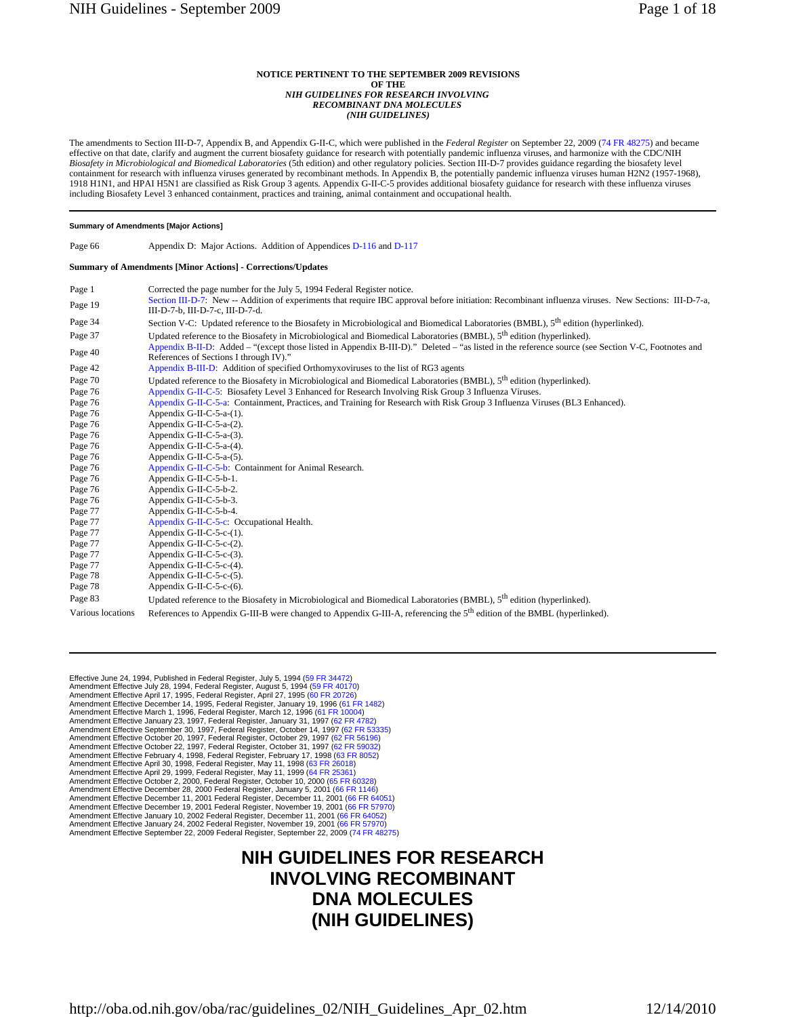# **NOTICE PERTINENT TO THE SEPTEMBER 2009 REVISIONS OF THE**  *NIH GUIDELINES FOR RESEARCH INVOLVING RECOMBINANT DNA MOLECULES (NIH GUIDELINES)*

The amendments to Section III-D-7, Appendix B, and Appendix G-II-C, which were published in the Federal Register on September 22, 2009 (74 FR 48275) and became<br>effective on that date, clarify and augment the current biosaf Biosafety in Microbiological and Biomedical Laboratories (5th edition) and other regulatory policies. Section III-D-7 provides guidance regarding the biosafety level containment for research with influenza viruses generate 1918 H1N1, and HPAI H5N1 are classified as Risk Group 3 agents. Appendix G-II-C-5 provides additional biosafety guidance for research with these influenza viruses including Biosafety Level 3 enhanced containment, practices and training, animal containment and occupational health.

# **Summary of Amendments [Major Actions]**

Page 66 Appendix D: Major Actions. Addition of Appendices D-116 and D-117

# **Summary of Amendments [Minor Actions] - Corrections/Updates**

| Page 1            | Corrected the page number for the July 5, 1994 Federal Register notice.                                                                                                                      |
|-------------------|----------------------------------------------------------------------------------------------------------------------------------------------------------------------------------------------|
| Page 19           | Section III-D-7: New -- Addition of experiments that require IBC approval before initiation: Recombinant influenza viruses. New Sections: III-D-7-a,<br>III-D-7-b. III-D-7-c. III-D-7-d.     |
| Page 34           | Section V-C: Updated reference to the Biosafety in Microbiological and Biomedical Laboratories (BMBL), 5 <sup>th</sup> edition (hyperlinked).                                                |
| Page 37           | Updated reference to the Biosafety in Microbiological and Biomedical Laboratories (BMBL), 5 <sup>th</sup> edition (hyperlinked).                                                             |
| Page 40           | Appendix B-II-D: Added – "(except those listed in Appendix B-III-D)." Deleted – "as listed in the reference source (see Section V-C, Footnotes and<br>References of Sections I through IV)." |
| Page 42           | Appendix B-III-D: Addition of specified Orthomyxoviruses to the list of RG3 agents                                                                                                           |
| Page 70           | Updated reference to the Biosafety in Microbiological and Biomedical Laboratories (BMBL), 5 <sup>th</sup> edition (hyperlinked).                                                             |
| Page 76           | Appendix G-II-C-5: Biosafety Level 3 Enhanced for Research Involving Risk Group 3 Influenza Viruses.                                                                                         |
| Page 76           | Appendix G-II-C-5-a: Containment, Practices, and Training for Research with Risk Group 3 Influenza Viruses (BL3 Enhanced).                                                                   |
| Page 76           | Appendix G-II-C-5-a-(1).                                                                                                                                                                     |
| Page 76           | Appendix G-II-C-5-a-(2).                                                                                                                                                                     |
| Page 76           | Appendix G-II-C-5-a-(3).                                                                                                                                                                     |
| Page 76           | Appendix G-II-C-5-a-(4).                                                                                                                                                                     |
| Page 76           | Appendix G-II-C-5-a-(5).                                                                                                                                                                     |
| Page 76           | Appendix G-II-C-5-b: Containment for Animal Research.                                                                                                                                        |
| Page 76           | Appendix G-II-C-5-b-1.                                                                                                                                                                       |
| Page 76           | Appendix G-II-C-5-b-2.                                                                                                                                                                       |
| Page 76           | Appendix G-II-C-5-b-3.                                                                                                                                                                       |
| Page 77           | Appendix G-II-C-5-b-4.                                                                                                                                                                       |
| Page 77           | Appendix G-II-C-5-c: Occupational Health.                                                                                                                                                    |
| Page 77           | Appendix G-II-C-5-c-(1).                                                                                                                                                                     |
| Page 77           | Appendix G-II-C-5-c-(2).                                                                                                                                                                     |
| Page 77           | Appendix G-II-C-5-c-(3).                                                                                                                                                                     |
| Page 77           | Appendix G-II-C-5-c-(4).                                                                                                                                                                     |
| Page 78           | Appendix G-II-C-5-c-(5).                                                                                                                                                                     |
| Page 78           | Appendix G-II-C-5-c-(6).                                                                                                                                                                     |
| Page 83           | Updated reference to the Biosafety in Microbiological and Biomedical Laboratories (BMBL), 5 <sup>th</sup> edition (hyperlinked).                                                             |
| Various locations | References to Appendix G-III-B were changed to Appendix G-III-A, referencing the 5 <sup>th</sup> edition of the BMBL (hyperlinked).                                                          |

| Effective June 24, 1994, Published in Federal Register, July 5, 1994 (59 FR 34472)<br>Amendment Effective July 28, 1994, Federal Register, August 5, 1994 (59 FR 40170)<br>Amendment Effective April 17, 1995, Federal Register, April 27, 1995 (60 FR 20726) |
|---------------------------------------------------------------------------------------------------------------------------------------------------------------------------------------------------------------------------------------------------------------|
| Amendment Effective December 14, 1995, Federal Register, January 19, 1996 (61 FR 1482)                                                                                                                                                                        |
| Amendment Effective March 1, 1996, Federal Register, March 12, 1996 (61 FR 10004)                                                                                                                                                                             |
| Amendment Effective January 23, 1997, Federal Register, January 31, 1997 (62 FR 4782)                                                                                                                                                                         |
| Amendment Effective September 30, 1997, Federal Register, October 14, 1997 (62 FR 53335)                                                                                                                                                                      |
| Amendment Effective October 20, 1997, Federal Register, October 29, 1997 (62 FR 56196)                                                                                                                                                                        |
| Amendment Effective October 22, 1997, Federal Register, October 31, 1997 (62 FR 59032)                                                                                                                                                                        |
| Amendment Effective February 4, 1998, Federal Register, February 17, 1998 (63 FR 8052)                                                                                                                                                                        |
| Amendment Effective April 30, 1998, Federal Register, May 11, 1998 (63 FR 26018)                                                                                                                                                                              |
| Amendment Effective April 29, 1999, Federal Register, May 11, 1999 (64 FR 25361)                                                                                                                                                                              |
| Amendment Effective October 2, 2000, Federal Register, October 10, 2000 (65 FR 60328)                                                                                                                                                                         |
| Amendment Effective December 28, 2000 Federal Register, January 5, 2001 (66 FR 1146)                                                                                                                                                                          |
| Amendment Effective December 11, 2001 Federal Register, December 11, 2001 (66 FR 64051)                                                                                                                                                                       |
| Amendment Effective December 19, 2001 Federal Register, November 19, 2001 (66 FR 57970)                                                                                                                                                                       |
| Amendment Effective January 10, 2002 Federal Register, December 11, 2001 (66 FR 64052)                                                                                                                                                                        |
| Amendment Effective January 24, 2002 Federal Register, November 19, 2001 (66 FR 57970)                                                                                                                                                                        |
| Amendment Effective September 22, 2009 Federal Register, September 22, 2009 (74 FR 48275)                                                                                                                                                                     |

# **NIH GUIDELINES FOR RESEARCH INVOLVING RECOMBINANT DNA MOLECULES (NIH GUIDELINES)**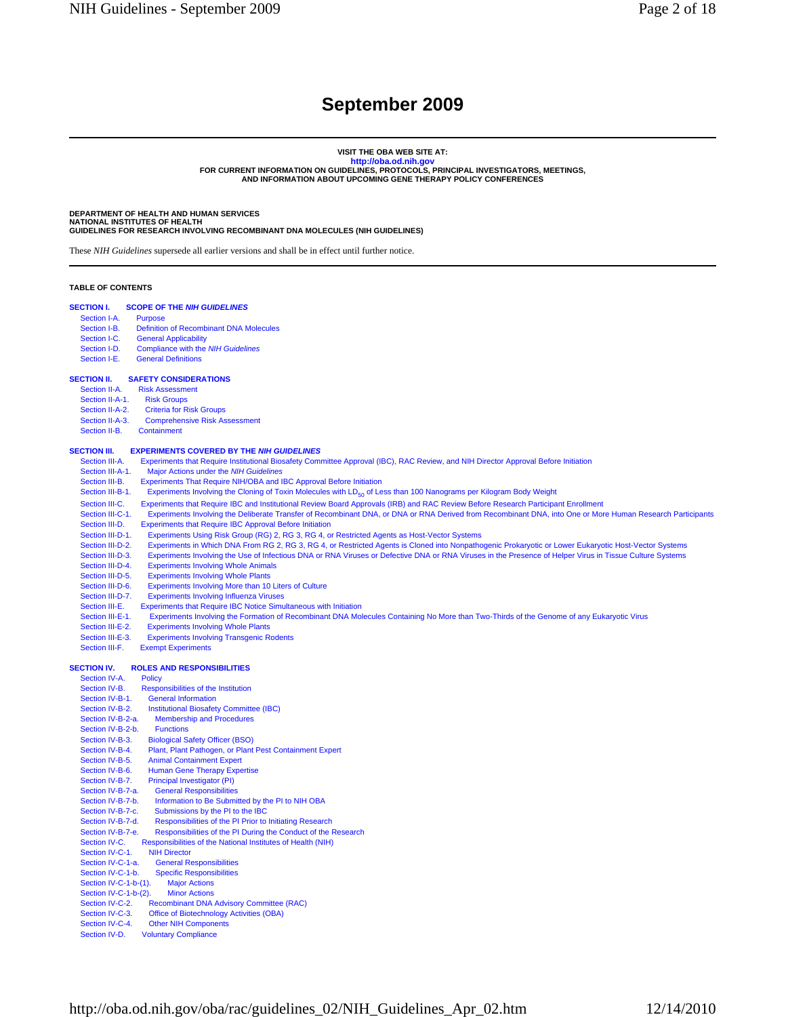# **September 2009**

**VISIT THE OBA WEB SITE AT:** 

**http://oba.od.nih.gov FOR CURRENT INFORMATION ON GUIDELINES, PROTOCOLS, PRINCIPAL INVESTIGATORS, MEETINGS, AND INFORMATION ABOUT UPCOMING GENE THERAPY POLICY CONFERENCES** 

 **DEPARTMENT OF HEALTH AND HUMAN SERVICES NATIONAL INSTITUTES OF HEALTH GUIDELINES FOR RESEARCH INVOLVING RECOMBINANT DNA MOLECULES (NIH GUIDELINES)** 

These *NIH Guidelines* supersede all earlier versions and shall be in effect until further notice.

# **TABLE OF CONTENTS**

| <b>SECTION I.</b>     | <b>SCOPE OF THE NIH GUIDELINES</b>                                                                                                                         |
|-----------------------|------------------------------------------------------------------------------------------------------------------------------------------------------------|
| Section I-A.          | <b>Purpose</b>                                                                                                                                             |
| Section I-B.          | <b>Definition of Recombinant DNA Molecules</b>                                                                                                             |
| Section I-C.          | <b>General Applicability</b>                                                                                                                               |
| Section I-D.          | <b>Compliance with the NIH Guidelines</b>                                                                                                                  |
| Section I-E.          | <b>General Definitions</b>                                                                                                                                 |
|                       |                                                                                                                                                            |
| <b>SECTION II.</b>    | <b>SAFETY CONSIDERATIONS</b>                                                                                                                               |
| Section II-A.         | <b>Risk Assessment</b>                                                                                                                                     |
| Section II-A-1.       | <b>Risk Groups</b>                                                                                                                                         |
| Section II-A-2.       | <b>Criteria for Risk Groups</b>                                                                                                                            |
| Section II-A-3.       | <b>Comprehensive Risk Assessment</b>                                                                                                                       |
| Section II-B.         | Containment                                                                                                                                                |
|                       |                                                                                                                                                            |
| <b>SECTION III.</b>   | <b>EXPERIMENTS COVERED BY THE NIH GUIDELINES</b>                                                                                                           |
| Section III-A.        | Experiments that Require Institutional Biosafety Committee Approval (IBC), RAC Review, and NIH Director Approval Before Initiation                         |
| Section III-A-1.      | Major Actions under the NIH Guidelines                                                                                                                     |
| Section III-B.        | Experiments That Require NIH/OBA and IBC Approval Before Initiation                                                                                        |
| Section III-B-1.      | Experiments Involving the Cloning of Toxin Molecules with LD <sub>50</sub> of Less than 100 Nanograms per Kilogram Body Weight                             |
| Section III-C.        | Experiments that Require IBC and Institutional Review Board Approvals (IRB) and RAC Review Before Research Participant Enrollment                          |
| Section III-C-1.      | Experiments Involving the Deliberate Transfer of Recombinant DNA, or DNA or RNA Derived from Recombinant DNA, into One or More Human Research Participants |
| Section III-D.        | <b>Experiments that Require IBC Approval Before Initiation</b>                                                                                             |
| Section III-D-1.      | Experiments Using Risk Group (RG) 2, RG 3, RG 4, or Restricted Agents as Host-Vector Systems                                                               |
| Section III-D-2.      | Experiments in Which DNA From RG 2, RG 3, RG 4, or Restricted Agents is Cloned into Nonpathogenic Prokaryotic or Lower Eukaryotic Host-Vector Systems      |
| Section III-D-3.      | Experiments Involving the Use of Infectious DNA or RNA Viruses or Defective DNA or RNA Viruses in the Presence of Helper Virus in Tissue Culture Systems   |
| Section III-D-4.      | <b>Experiments Involving Whole Animals</b>                                                                                                                 |
| Section III-D-5.      | <b>Experiments Involving Whole Plants</b>                                                                                                                  |
| Section III-D-6.      | Experiments Involving More than 10 Liters of Culture                                                                                                       |
| Section III-D-7.      | <b>Experiments Involving Influenza Viruses</b>                                                                                                             |
| Section III-E.        | Experiments that Require IBC Notice Simultaneous with Initiation                                                                                           |
| Section III-E-1.      | Experiments Involving the Formation of Recombinant DNA Molecules Containing No More than Two-Thirds of the Genome of any Eukaryotic Virus                  |
| Section III-E-2.      | <b>Experiments Involving Whole Plants</b>                                                                                                                  |
| Section III-E-3.      | <b>Experiments Involving Transgenic Rodents</b>                                                                                                            |
| Section III-F.        | <b>Exempt Experiments</b>                                                                                                                                  |
|                       |                                                                                                                                                            |
| <b>SECTION IV.</b>    | <b>ROLES AND RESPONSIBILITIES</b>                                                                                                                          |
| Section IV-A.         | Policy                                                                                                                                                     |
| Section IV-B.         | Responsibilities of the Institution                                                                                                                        |
| Section IV-B-1.       | <b>General Information</b>                                                                                                                                 |
| Section IV-B-2.       | <b>Institutional Biosafety Committee (IBC)</b>                                                                                                             |
| Section IV-B-2-a.     | <b>Membership and Procedures</b>                                                                                                                           |
| Section IV-B-2-b.     | <b>Functions</b>                                                                                                                                           |
| Section IV-B-3.       | <b>Biological Safety Officer (BSO)</b>                                                                                                                     |
| Section IV-B-4.       | Plant, Plant Pathogen, or Plant Pest Containment Expert                                                                                                    |
| Section IV-B-5.       | <b>Animal Containment Expert</b>                                                                                                                           |
| Section IV-B-6.       | <b>Human Gene Therapy Expertise</b>                                                                                                                        |
| Section IV-B-7.       | Principal Investigator (PI)                                                                                                                                |
| Section IV-B-7-a.     | <b>General Responsibilities</b>                                                                                                                            |
| Section IV-B-7-b.     | Information to Be Submitted by the PI to NIH OBA                                                                                                           |
| Section IV-B-7-c.     | Submissions by the PI to the IBC                                                                                                                           |
| Section IV-B-7-d.     | Responsibilities of the PI Prior to Initiating Research                                                                                                    |
| Section IV-B-7-e.     | Responsibilities of the PI During the Conduct of the Research                                                                                              |
| Section IV-C.         | Responsibilities of the National Institutes of Health (NIH)                                                                                                |
| Section IV-C-1.       | <b>NIH Director</b>                                                                                                                                        |
| Section IV-C-1-a.     | <b>General Responsibilities</b>                                                                                                                            |
| Section IV-C-1-b.     | <b>Specific Responsibilities</b>                                                                                                                           |
| Section IV-C-1-b-(1). | <b>Major Actions</b>                                                                                                                                       |
| Section IV-C-1-b-(2). | <b>Minor Actions</b>                                                                                                                                       |
| Section IV-C-2.       | <b>Recombinant DNA Advisory Committee (RAC)</b>                                                                                                            |
| Section IV-C-3.       | Office of Biotechnology Activities (OBA)                                                                                                                   |
| Section IV-C-4.       | <b>Other NIH Components</b>                                                                                                                                |
| Section IV-D.         | <b>Voluntary Compliance</b>                                                                                                                                |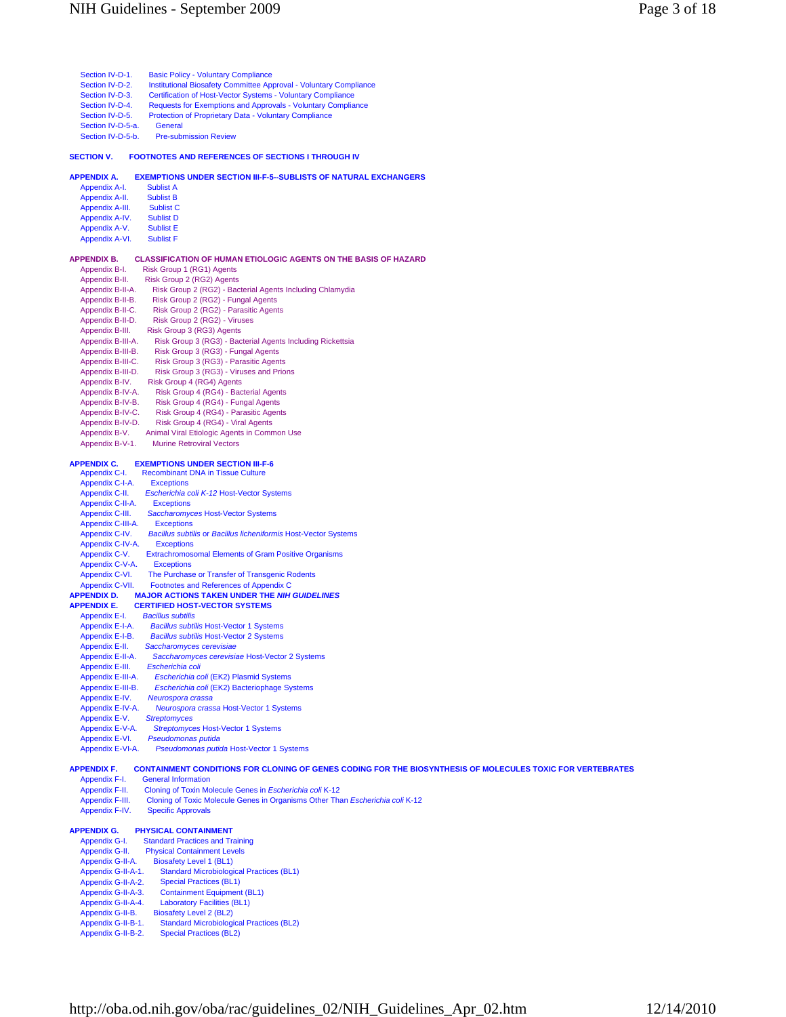| Section IV-D-1.              | <b>Basic Policy - Voluntary Compliance</b>                                                                        |
|------------------------------|-------------------------------------------------------------------------------------------------------------------|
| Section IV-D-2.              | Institutional Biosafety Committee Approval - Voluntary Compliance                                                 |
| Section IV-D-3.              | Certification of Host-Vector Systems - Voluntary Compliance                                                       |
| Section IV-D-4.              | Requests for Exemptions and Approvals - Voluntary Compliance                                                      |
| Section IV-D-5.              |                                                                                                                   |
|                              | Protection of Proprietary Data - Voluntary Compliance                                                             |
| Section IV-D-5-a.            | General                                                                                                           |
| Section IV-D-5-b.            | <b>Pre-submission Review</b>                                                                                      |
| <b>SECTION V.</b>            | <b>FOOTNOTES AND REFERENCES OF SECTIONS I THROUGH IV</b>                                                          |
| <b>APPENDIX A.</b>           | <b>EXEMPTIONS UNDER SECTION III-F-5--SUBLISTS OF NATURAL EXCHANGERS</b>                                           |
| Appendix A-I.                | <b>Sublist A</b>                                                                                                  |
| Appendix A-II.               | <b>Sublist B</b>                                                                                                  |
| Appendix A-III.              | <b>Sublist C</b>                                                                                                  |
| Appendix A-IV.               | <b>Sublist D</b>                                                                                                  |
| Appendix A-V.                | <b>Sublist E</b>                                                                                                  |
| Appendix A-VI.               | <b>Sublist F</b>                                                                                                  |
|                              |                                                                                                                   |
| <b>APPENDIX B.</b>           | <b>CLASSIFICATION OF HUMAN ETIOLOGIC AGENTS ON THE BASIS OF HAZARD</b>                                            |
| Appendix B-I.                |                                                                                                                   |
| Appendix B-II.               | Risk Group 1 (RG1) Agents                                                                                         |
|                              | Risk Group 2 (RG2) Agents                                                                                         |
| Appendix B-II-A.             | Risk Group 2 (RG2) - Bacterial Agents Including Chlamydia                                                         |
| Appendix B-II-B.             | Risk Group 2 (RG2) - Fungal Agents                                                                                |
| Appendix B-II-C.             | Risk Group 2 (RG2) - Parasitic Agents                                                                             |
| Appendix B-II-D.             | Risk Group 2 (RG2) - Viruses                                                                                      |
| Appendix B-III.              | Risk Group 3 (RG3) Agents                                                                                         |
| Appendix B-III-A.            | Risk Group 3 (RG3) - Bacterial Agents Including Rickettsia                                                        |
| Appendix B-III-B.            | Risk Group 3 (RG3) - Fungal Agents                                                                                |
| Appendix B-III-C.            | Risk Group 3 (RG3) - Parasitic Agents                                                                             |
| Appendix B-III-D.            | Risk Group 3 (RG3) - Viruses and Prions                                                                           |
| Appendix B-IV.               | Risk Group 4 (RG4) Agents                                                                                         |
| Appendix B-IV-A.             | Risk Group 4 (RG4) - Bacterial Agents                                                                             |
| Appendix B-IV-B.             | Risk Group 4 (RG4) - Fungal Agents                                                                                |
| Appendix B-IV-C.             | Risk Group 4 (RG4) - Parasitic Agents                                                                             |
| Appendix B-IV-D.             | Risk Group 4 (RG4) - Viral Agents                                                                                 |
| Appendix B-V.                | Animal Viral Etiologic Agents in Common Use                                                                       |
|                              | <b>Murine Retroviral Vectors</b>                                                                                  |
| Appendix B-V-1.              |                                                                                                                   |
|                              |                                                                                                                   |
| APPENDIX C.<br>Appendix C-I. | <b>EXEMPTIONS UNDER SECTION III-F-6</b><br><b>Recombinant DNA in Tissue Culture</b>                               |
|                              |                                                                                                                   |
| Appendix C-I-A.              | <b>Exceptions</b>                                                                                                 |
| Appendix C-II.               | Escherichia coli K-12 Host-Vector Systems                                                                         |
| Appendix C-II-A.             | <b>Exceptions</b>                                                                                                 |
| Appendix C-III.              | Saccharomyces Host-Vector Systems                                                                                 |
| Appendix C-III-A.            | <b>Exceptions</b>                                                                                                 |
| Appendix C-IV.               | <b>Bacillus subtilis or Bacillus licheniformis Host-Vector Systems</b>                                            |
| Appendix C-IV-A.             | <b>Exceptions</b>                                                                                                 |
| Appendix C-V.                | <b>Extrachromosomal Elements of Gram Positive Organisms</b>                                                       |
| Appendix C-V-A.              | <b>Exceptions</b>                                                                                                 |
| Appendix C-VI.               | The Purchase or Transfer of Transgenic Rodents                                                                    |
| Appendix C-VII.              | Footnotes and References of Appendix C                                                                            |
| <b>APPENDIX D.</b>           | <b>MAJOR ACTIONS TAKEN UNDER THE NIH GUIDELINES</b>                                                               |
| <b>APPENDIX E.</b>           | <b>CERTIFIED HOST-VECTOR SYSTEMS</b>                                                                              |
| Appendix E-I.                | <b>Bacillus subtilis</b>                                                                                          |
| Appendix E-I-A.              | <b>Bacillus subtilis Host-Vector 1 Systems</b>                                                                    |
| Appendix E-I-B.              | <b>Bacillus subtilis Host-Vector 2 Systems</b>                                                                    |
| Appendix E-II.               | Saccharomyces cerevisiae                                                                                          |
| Appendix E-II-A.             | Saccharomyces cerevisiae Host-Vector 2 Systems                                                                    |
| Appendix E-III.              | Escherichia coli                                                                                                  |
| Appendix E-III-A.            | Escherichia coli (EK2) Plasmid Systems                                                                            |
| Appendix E-III-B.            | Escherichia coli (EK2) Bacteriophage Systems                                                                      |
| Appendix E-IV.               | Neurospora crassa                                                                                                 |
| Appendix E-IV-A.             | Neurospora crassa Host-Vector 1 Systems                                                                           |
|                              |                                                                                                                   |
| Appendix E-V.                | <b>Streptomyces</b>                                                                                               |
| Appendix E-V-A.              | <b>Streptomyces Host-Vector 1 Systems</b>                                                                         |
| Appendix E-VI.               | Pseudomonas putida                                                                                                |
| Appendix E-VI-A.             | Pseudomonas putida Host-Vector 1 Systems                                                                          |
|                              |                                                                                                                   |
| <b>APPENDIX F.</b>           | <b>CONTAINMENT CONDITIONS FOR CLONING OF GENES CODING FOR THE BIOSYNTHESIS OF MOLECULES TOXIC FOR VERTEBRATES</b> |
| Appendix F-I.                | <b>General Information</b>                                                                                        |
| Appendix F-II.               | Cloning of Toxin Molecule Genes in Escherichia coli K-12                                                          |
| Appendix F-III.              | Cloning of Toxic Molecule Genes in Organisms Other Than Escherichia coli K-12                                     |
| Appendix F-IV.               | <b>Specific Approvals</b>                                                                                         |
|                              |                                                                                                                   |
| <b>APPENDIX G.</b>           | PHYSICAL CONTAINMENT                                                                                              |
| Appendix G-I.                | <b>Standard Practices and Training</b>                                                                            |
| Appendix G-II.               | <b>Physical Containment Levels</b>                                                                                |
| Appendix G-II-A.             | <b>Biosafety Level 1 (BL1)</b>                                                                                    |
| Appendix G-II-A-1.           | <b>Standard Microbiological Practices (BL1)</b>                                                                   |
| Appendix G-II-A-2.           | <b>Special Practices (BL1)</b>                                                                                    |
| Appendix G-II-A-3.           | <b>Containment Equipment (BL1)</b>                                                                                |
| Appendix G-II-A-4.           | <b>Laboratory Facilities (BL1)</b>                                                                                |
| Appendix G-II-B.             | <b>Biosafety Level 2 (BL2)</b>                                                                                    |
| Appendix G-II-B-1.           | <b>Standard Microbiological Practices (BL2)</b>                                                                   |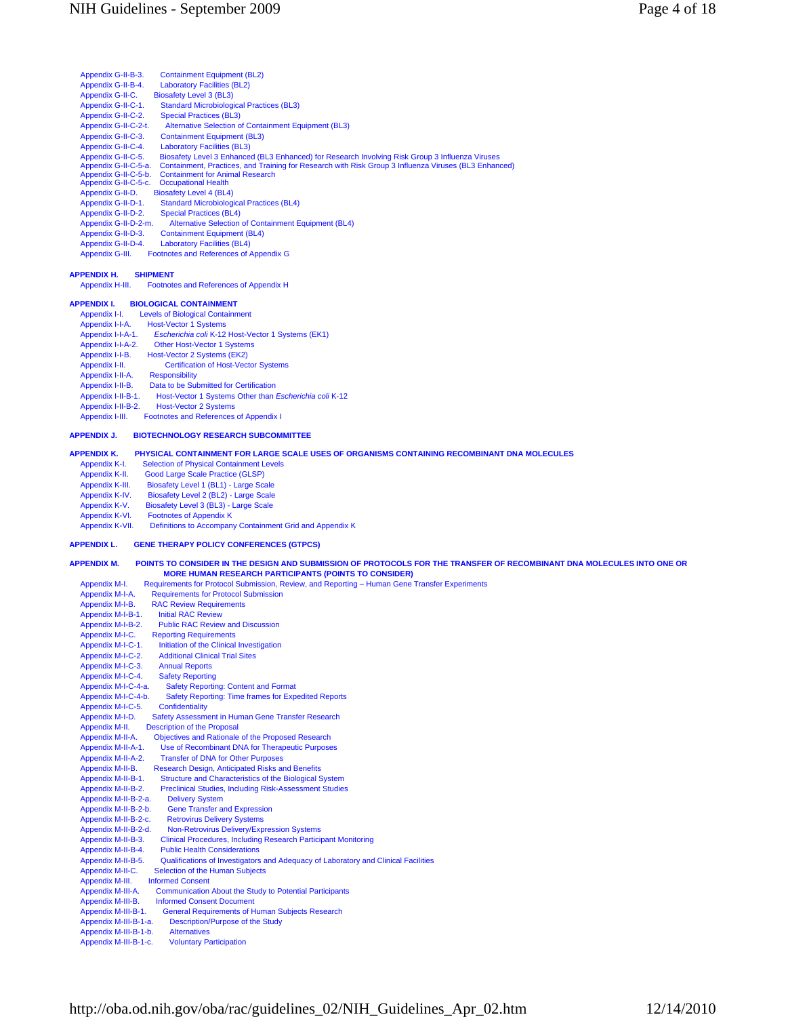| Appendix G-II-B-3.<br><b>Containment Equipment (BL2)</b>                                                                                     |  |
|----------------------------------------------------------------------------------------------------------------------------------------------|--|
| Appendix G-II-B-4.<br><b>Laboratory Facilities (BL2)</b>                                                                                     |  |
|                                                                                                                                              |  |
| Appendix G-II-C.<br><b>Biosafety Level 3 (BL3)</b>                                                                                           |  |
| Appendix G-II-C-1.<br><b>Standard Microbiological Practices (BL3)</b>                                                                        |  |
| Appendix G-II-C-2.<br><b>Special Practices (BL3)</b>                                                                                         |  |
|                                                                                                                                              |  |
| Alternative Selection of Containment Equipment (BL3)<br>Appendix G-II-C-2-t.                                                                 |  |
| Appendix G-II-C-3.<br><b>Containment Equipment (BL3)</b>                                                                                     |  |
|                                                                                                                                              |  |
| Appendix G-II-C-4.<br><b>Laboratory Facilities (BL3)</b>                                                                                     |  |
| Appendix G-II-C-5.<br>Biosafety Level 3 Enhanced (BL3 Enhanced) for Research Involving Risk Group 3 Influenza Viruses                        |  |
| Appendix G-II-C-5-a.<br>Containment, Practices, and Training for Research with Risk Group 3 Influenza Viruses (BL3 Enhanced)                 |  |
|                                                                                                                                              |  |
| Appendix G-II-C-5-b.<br><b>Containment for Animal Research</b>                                                                               |  |
| Appendix G-II-C-5-c.<br><b>Occupational Health</b>                                                                                           |  |
| Appendix G-II-D.<br><b>Biosafety Level 4 (BL4)</b>                                                                                           |  |
|                                                                                                                                              |  |
| <b>Standard Microbiological Practices (BL4)</b><br>Appendix G-II-D-1.                                                                        |  |
| <b>Special Practices (BL4)</b><br>Appendix G-II-D-2.                                                                                         |  |
|                                                                                                                                              |  |
| Appendix G-II-D-2-m.<br>Alternative Selection of Containment Equipment (BL4)                                                                 |  |
| Appendix G-II-D-3.<br><b>Containment Equipment (BL4)</b>                                                                                     |  |
| Appendix G-II-D-4.                                                                                                                           |  |
| <b>Laboratory Facilities (BL4)</b>                                                                                                           |  |
| Appendix G-III.<br>Footnotes and References of Appendix G                                                                                    |  |
|                                                                                                                                              |  |
|                                                                                                                                              |  |
| <b>APPENDIX H.</b><br><b>SHIPMENT</b>                                                                                                        |  |
| Footnotes and References of Appendix H<br>Appendix H-III.                                                                                    |  |
|                                                                                                                                              |  |
|                                                                                                                                              |  |
| <b>APPENDIX I.</b><br><b>BIOLOGICAL CONTAINMENT</b>                                                                                          |  |
| Appendix I-I.<br><b>Levels of Biological Containment</b>                                                                                     |  |
|                                                                                                                                              |  |
| Appendix I-I-A.<br><b>Host-Vector 1 Systems</b>                                                                                              |  |
| Appendix I-I-A-1.<br>Escherichia coli K-12 Host-Vector 1 Systems (EK1)                                                                       |  |
|                                                                                                                                              |  |
| Appendix I-I-A-2.<br>Other Host-Vector 1 Systems                                                                                             |  |
| Appendix I-I-B.<br>Host-Vector 2 Systems (EK2)                                                                                               |  |
|                                                                                                                                              |  |
| Appendix I-II.<br><b>Certification of Host-Vector Systems</b>                                                                                |  |
| Appendix I-II-A.<br><b>Responsibility</b>                                                                                                    |  |
|                                                                                                                                              |  |
| Appendix I-II-B.<br>Data to be Submitted for Certification                                                                                   |  |
| Appendix I-II-B-1.<br>Host-Vector 1 Systems Other than Escherichia coli K-12                                                                 |  |
|                                                                                                                                              |  |
| Appendix I-II-B-2.<br><b>Host-Vector 2 Systems</b>                                                                                           |  |
| Appendix I-III.<br>Footnotes and References of Appendix I                                                                                    |  |
|                                                                                                                                              |  |
|                                                                                                                                              |  |
| <b>APPENDIX J.</b><br><b>BIOTECHNOLOGY RESEARCH SUBCOMMITTEE</b>                                                                             |  |
|                                                                                                                                              |  |
|                                                                                                                                              |  |
| <b>APPENDIX K.</b><br>PHYSICAL CONTAINMENT FOR LARGE SCALE USES OF ORGANISMS CONTAINING RECOMBINANT DNA MOLECULES                            |  |
| <b>Selection of Physical Containment Levels</b><br>Appendix K-I.                                                                             |  |
|                                                                                                                                              |  |
| Appendix K-II.<br>Good Large Scale Practice (GLSP)                                                                                           |  |
| Biosafety Level 1 (BL1) - Large Scale<br>Appendix K-III.                                                                                     |  |
|                                                                                                                                              |  |
|                                                                                                                                              |  |
| Appendix K-IV.<br>Biosafety Level 2 (BL2) - Large Scale                                                                                      |  |
| Appendix K-V.                                                                                                                                |  |
| Biosafety Level 3 (BL3) - Large Scale                                                                                                        |  |
| Appendix K-VI.<br><b>Footnotes of Appendix K</b>                                                                                             |  |
| Appendix K-VII.<br>Definitions to Accompany Containment Grid and Appendix K                                                                  |  |
|                                                                                                                                              |  |
|                                                                                                                                              |  |
| <b>APPENDIX L.</b><br><b>GENE THERAPY POLICY CONFERENCES (GTPCS)</b>                                                                         |  |
|                                                                                                                                              |  |
|                                                                                                                                              |  |
| <b>APPENDIX M.</b><br>POINTS TO CONSIDER IN THE DESIGN AND SUBMISSION OF PROTOCOLS FOR THE TRANSFER OF RECOMBINANT DNA MOLECULES INTO ONE OR |  |
| <b>MORE HUMAN RESEARCH PARTICIPANTS (POINTS TO CONSIDER)</b>                                                                                 |  |
|                                                                                                                                              |  |
| Appendix M-I.<br>Requirements for Protocol Submission, Review, and Reporting - Human Gene Transfer Experiments                               |  |
| Appendix M-I-A.<br><b>Requirements for Protocol Submission</b>                                                                               |  |
|                                                                                                                                              |  |
| Appendix M-I-B.<br><b>RAC Review Requirements</b>                                                                                            |  |
| Appendix M-I-B-1.<br><b>Initial RAC Review</b>                                                                                               |  |
| Appendix M-I-B-2.<br><b>Public RAC Review and Discussion</b>                                                                                 |  |
|                                                                                                                                              |  |
| Appendix M-I-C.<br><b>Reporting Requirements</b>                                                                                             |  |
| Appendix M-I-C-1.<br>Initiation of the Clinical Investigation                                                                                |  |
|                                                                                                                                              |  |
| Appendix M-I-C-2.<br><b>Additional Clinical Trial Sites</b>                                                                                  |  |
| Appendix M-I-C-3.<br><b>Annual Reports</b>                                                                                                   |  |
|                                                                                                                                              |  |
| Appendix M-I-C-4.<br><b>Safety Reporting</b>                                                                                                 |  |
| Appendix M-I-C-4-a.<br><b>Safety Reporting: Content and Format</b>                                                                           |  |
|                                                                                                                                              |  |
| Appendix M-I-C-4-b.<br>Safety Reporting: Time frames for Expedited Reports                                                                   |  |
| Appendix M-I-C-5.<br>Confidentiality                                                                                                         |  |
|                                                                                                                                              |  |
| Appendix M-I-D.<br>Safety Assessment in Human Gene Transfer Research                                                                         |  |
| Appendix M-II.<br><b>Description of the Proposal</b>                                                                                         |  |
| Appendix M-II-A.                                                                                                                             |  |
| Objectives and Rationale of the Proposed Research                                                                                            |  |
| Use of Recombinant DNA for Therapeutic Purposes<br>Appendix M-II-A-1.                                                                        |  |
| Appendix M-II-A-2.<br><b>Transfer of DNA for Other Purposes</b>                                                                              |  |
|                                                                                                                                              |  |
| Appendix M-II-B.<br>Research Design, Anticipated Risks and Benefits                                                                          |  |
| Structure and Characteristics of the Biological System<br>Appendix M-II-B-1.                                                                 |  |
|                                                                                                                                              |  |
| Appendix M-II-B-2.<br>Preclinical Studies, Including Risk-Assessment Studies                                                                 |  |
| Appendix M-II-B-2-a.<br><b>Delivery System</b>                                                                                               |  |
|                                                                                                                                              |  |
| Appendix M-II-B-2-b.<br><b>Gene Transfer and Expression</b>                                                                                  |  |
| Appendix M-II-B-2-c.<br><b>Retrovirus Delivery Systems</b>                                                                                   |  |
|                                                                                                                                              |  |
| Appendix M-II-B-2-d.<br>Non-Retrovirus Delivery/Expression Systems                                                                           |  |
| Appendix M-II-B-3.<br><b>Clinical Procedures, Including Research Participant Monitoring</b>                                                  |  |
|                                                                                                                                              |  |
| Appendix M-II-B-4.<br><b>Public Health Considerations</b>                                                                                    |  |
| Appendix M-II-B-5.<br>Qualifications of Investigators and Adequacy of Laboratory and Clinical Facilities                                     |  |
|                                                                                                                                              |  |
| Appendix M-II-C.<br>Selection of the Human Subjects                                                                                          |  |
| Appendix M-III.<br><b>Informed Consent</b>                                                                                                   |  |
|                                                                                                                                              |  |
| <b>Communication About the Study to Potential Participants</b><br>Appendix M-III-A.                                                          |  |
| <b>Informed Consent Document</b><br>Appendix M-III-B.                                                                                        |  |
| Appendix M-III-B-1.<br><b>General Requirements of Human Subjects Research</b>                                                                |  |
|                                                                                                                                              |  |
| Appendix M-III-B-1-a.<br>Description/Purpose of the Study                                                                                    |  |
| Appendix M-III-B-1-b.<br><b>Alternatives</b>                                                                                                 |  |
| Appendix M-III-B-1-c.<br><b>Voluntary Participation</b>                                                                                      |  |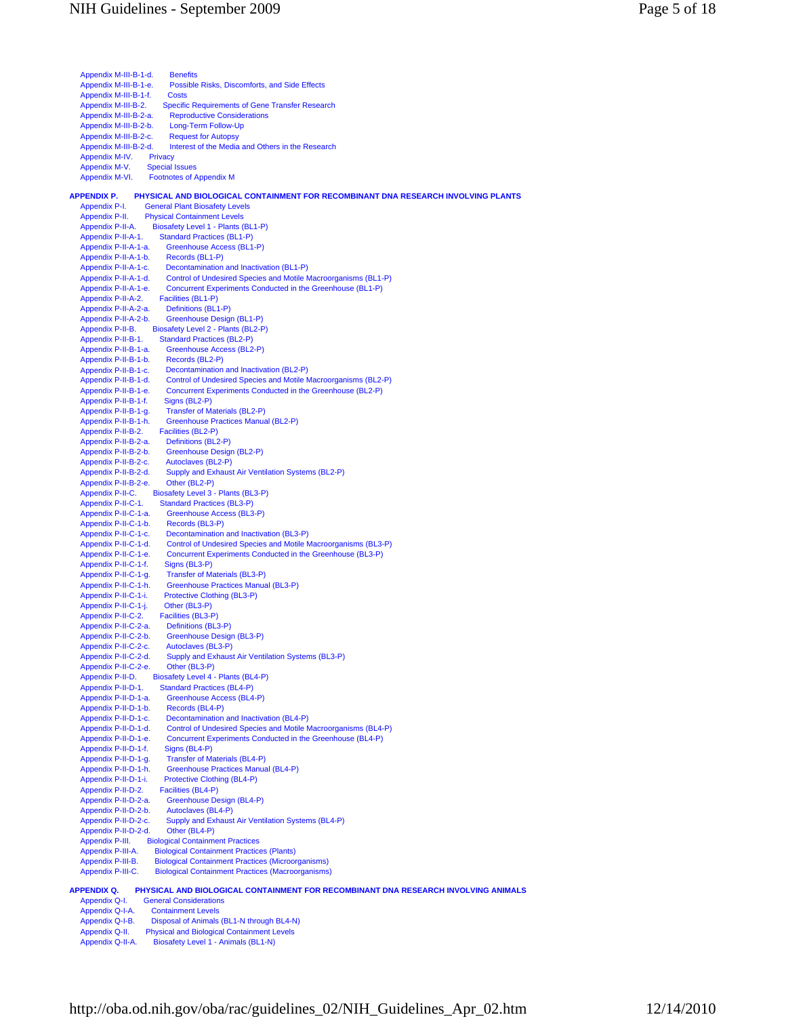| Appendix M-III-B-1-d.<br><b>Benefits</b>                                                                                                     |
|----------------------------------------------------------------------------------------------------------------------------------------------|
| Appendix M-III-B-1-e.<br>Possible Risks, Discomforts, and Side Effects                                                                       |
| Appendix M-III-B-1-f.<br><b>Costs</b>                                                                                                        |
| Appendix M-III-B-2.<br><b>Specific Requirements of Gene Transfer Research</b><br><b>Reproductive Considerations</b><br>Appendix M-III-B-2-a. |
| Long-Term Follow-Up<br>Appendix M-III-B-2-b.                                                                                                 |
| <b>Request for Autopsy</b><br>Appendix M-III-B-2-c.                                                                                          |
| Interest of the Media and Others in the Research<br>Appendix M-III-B-2-d.                                                                    |
| Appendix M-IV.<br><b>Privacy</b>                                                                                                             |
| Appendix M-V.<br><b>Special Issues</b>                                                                                                       |
| <b>Footnotes of Appendix M</b><br>Appendix M-VI.                                                                                             |
| <b>APPENDIX P.</b><br>PHYSICAL AND BIOLOGICAL CONTAINMENT FOR RECOMBINANT DNA RESEARCH INVOLVING PLANTS                                      |
| Appendix P-I.<br><b>General Plant Biosafety Levels</b>                                                                                       |
| Appendix P-II.<br><b>Physical Containment Levels</b>                                                                                         |
| Biosafety Level 1 - Plants (BL1-P)<br>Appendix P-II-A.                                                                                       |
| <b>Standard Practices (BL1-P)</b><br>Appendix P-II-A-1.                                                                                      |
| Appendix P-II-A-1-a.<br>Greenhouse Access (BL1-P)                                                                                            |
| Appendix P-II-A-1-b.<br>Records (BL1-P)<br>Decontamination and Inactivation (BL1-P)<br>Appendix P-II-A-1-c.                                  |
| Control of Undesired Species and Motile Macroorganisms (BL1-P)<br>Appendix P-II-A-1-d.                                                       |
| Concurrent Experiments Conducted in the Greenhouse (BL1-P)<br>Appendix P-II-A-1-e.                                                           |
| Appendix P-II-A-2.<br>Facilities (BL1-P)                                                                                                     |
| Appendix P-II-A-2-a.<br>Definitions (BL1-P)                                                                                                  |
| Appendix P-II-A-2-b.<br>Greenhouse Design (BL1-P)                                                                                            |
| Appendix P-II-B.<br>Biosafety Level 2 - Plants (BL2-P)                                                                                       |
| Appendix P-II-B-1.<br><b>Standard Practices (BL2-P)</b><br>Appendix P-II-B-1-a.<br>Greenhouse Access (BL2-P)                                 |
| Appendix P-II-B-1-b.<br>Records (BL2-P)                                                                                                      |
| Appendix P-II-B-1-c.<br>Decontamination and Inactivation (BL2-P)                                                                             |
| Control of Undesired Species and Motile Macroorganisms (BL2-P)<br>Appendix P-II-B-1-d.                                                       |
| Concurrent Experiments Conducted in the Greenhouse (BL2-P)<br>Appendix P-II-B-1-e.                                                           |
| Signs (BL2-P)<br>Appendix P-II-B-1-f.                                                                                                        |
| <b>Transfer of Materials (BL2-P)</b><br>Appendix P-II-B-1-g.                                                                                 |
| <b>Greenhouse Practices Manual (BL2-P)</b><br>Appendix P-II-B-1-h.<br>Facilities (BL2-P)<br>Appendix P-II-B-2.                               |
| Appendix P-II-B-2-a.<br>Definitions (BL2-P)                                                                                                  |
| Appendix P-II-B-2-b.<br>Greenhouse Design (BL2-P)                                                                                            |
| Appendix P-II-B-2-c.<br>Autoclaves (BL2-P)                                                                                                   |
| Appendix P-II-B-2-d.<br>Supply and Exhaust Air Ventilation Systems (BL2-P)                                                                   |
| Appendix P-II-B-2-e.<br>Other (BL2-P)                                                                                                        |
| Biosafety Level 3 - Plants (BL3-P)<br>Appendix P-II-C.                                                                                       |
| <b>Standard Practices (BL3-P)</b><br>Appendix P-II-C-1.<br>Appendix P-II-C-1-a.<br>Greenhouse Access (BL3-P)                                 |
| Records (BL3-P)<br>Appendix P-II-C-1-b.                                                                                                      |
| Decontamination and Inactivation (BL3-P)<br>Appendix P-II-C-1-c.                                                                             |
| Control of Undesired Species and Motile Macroorganisms (BL3-P)<br>Appendix P-II-C-1-d.                                                       |
| Concurrent Experiments Conducted in the Greenhouse (BL3-P)<br>Appendix P-II-C-1-e.                                                           |
| Signs (BL3-P)<br>Appendix P-II-C-1-f.                                                                                                        |
| <b>Transfer of Materials (BL3-P)</b><br>Appendix P-II-C-1-g.                                                                                 |
| Appendix P-II-C-1-h.<br>Greenhouse Practices Manual (BL3-P)<br>Appendix P-II-C-1-i.<br>Protective Clothing (BL3-P)                           |
| Appendix P-II-C-1-j.<br>Other (BL3-P)                                                                                                        |
| Appendix P-II-C-2.<br>Facilities (BL3-P)                                                                                                     |
| Appendix P-II-C-2-a.<br>Definitions (BL3-P)                                                                                                  |
| Appendix P-II-C-2-b.<br>Greenhouse Design (BL3-P)                                                                                            |
| Autoclaves (BL3-P)<br>Appendix P-II-C-2-c.                                                                                                   |
| Supply and Exhaust Air Ventilation Systems (BL3-P)<br>Appendix P-II-C-2-d.                                                                   |
| Appendix P-II-C-2-e.<br>Other (BL3-P)<br>Biosafety Level 4 - Plants (BL4-P)<br>Appendix P-II-D.                                              |
| <b>Standard Practices (BL4-P)</b><br>Appendix P-II-D-1.                                                                                      |
| <b>Greenhouse Access (BL4-P)</b><br>Appendix P-II-D-1-a.                                                                                     |
| Appendix P-II-D-1-b.<br>Records (BL4-P)                                                                                                      |
| Decontamination and Inactivation (BL4-P)<br>Appendix P-II-D-1-c.                                                                             |
| Control of Undesired Species and Motile Macroorganisms (BL4-P)<br>Appendix P-II-D-1-d.                                                       |
| Concurrent Experiments Conducted in the Greenhouse (BL4-P)<br>Appendix P-II-D-1-e.                                                           |
| Appendix P-II-D-1-f.<br>Signs (BL4-P)<br><b>Transfer of Materials (BL4-P)</b><br>Appendix P-II-D-1-g.                                        |
| <b>Greenhouse Practices Manual (BL4-P)</b><br>Appendix P-II-D-1-h.                                                                           |
| Appendix P-II-D-1-i.<br>Protective Clothing (BL4-P)                                                                                          |
| Appendix P-II-D-2.<br>Facilities (BL4-P)                                                                                                     |
| Appendix P-II-D-2-a.<br>Greenhouse Design (BL4-P)                                                                                            |
| Autoclaves (BL4-P)<br>Appendix P-II-D-2-b.                                                                                                   |
| Supply and Exhaust Air Ventilation Systems (BL4-P)<br>Appendix P-II-D-2-c.<br>Appendix P-II-D-2-d.<br>Other (BL4-P)                          |
| Appendix P-III.<br><b>Biological Containment Practices</b>                                                                                   |
| <b>Biological Containment Practices (Plants)</b><br>Appendix P-III-A.                                                                        |
| <b>Biological Containment Practices (Microorganisms)</b><br>Appendix P-III-B.                                                                |
| <b>Biological Containment Practices (Macroorganisms)</b><br>Appendix P-III-C.                                                                |
| <b>APPENDIX Q.</b><br>PHYSICAL AND BIOLOGICAL CONTAINMENT FOR RECOMBINANT DNA RESEARCH INVOLVING ANIMALS                                     |
| Appendix Q-I.<br><b>General Considerations</b>                                                                                               |
| Appendix Q-I-A.<br><b>Containment Levels</b>                                                                                                 |

Appendix Q-I-A. Containment Levels Appendix Q-I-B. Disposal of Animals (BL1-N through BL4-N) Appendix Q-II. Physical and Biological Containment Levels Appendix Q-II-A. Biosafety Level 1 - Animals (BL1-N)

- 
-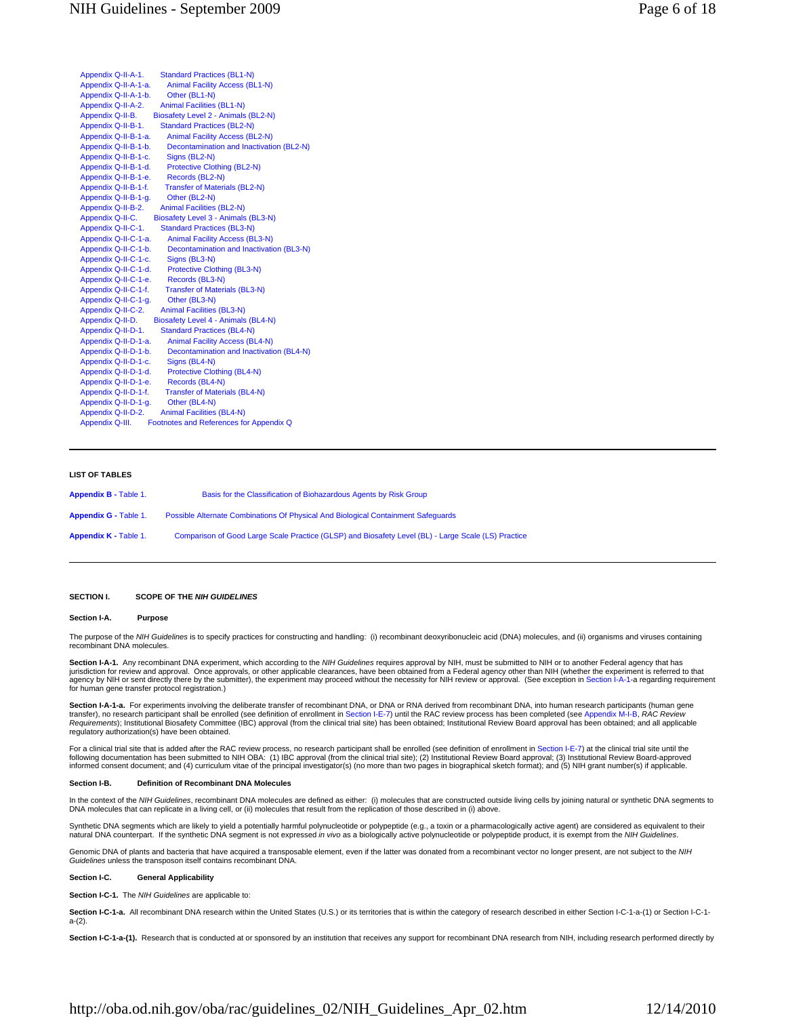| Appendix Q-II-A-1.   | <b>Standard Practices (BL1-N)</b>        |
|----------------------|------------------------------------------|
| Appendix Q-II-A-1-a. | <b>Animal Facility Access (BL1-N)</b>    |
| Appendix Q-II-A-1-b. | Other (BL1-N)                            |
| Appendix Q-II-A-2.   | <b>Animal Facilities (BL1-N)</b>         |
| Appendix Q-II-B.     | Biosafety Level 2 - Animals (BL2-N)      |
| Appendix Q-II-B-1.   | <b>Standard Practices (BL2-N)</b>        |
| Appendix Q-II-B-1-a. | <b>Animal Facility Access (BL2-N)</b>    |
| Appendix Q-II-B-1-b. | Decontamination and Inactivation (BL2-N) |
| Appendix Q-II-B-1-c. | Signs (BL2-N)                            |
| Appendix Q-II-B-1-d. | Protective Clothing (BL2-N)              |
| Appendix Q-II-B-1-e. | Records (BL2-N)                          |
| Appendix Q-II-B-1-f. | <b>Transfer of Materials (BL2-N)</b>     |
| Appendix Q-II-B-1-q. | Other (BL2-N)                            |
| Appendix Q-II-B-2.   | <b>Animal Facilities (BL2-N)</b>         |
| Appendix Q-II-C.     | Biosafety Level 3 - Animals (BL3-N)      |
| Appendix Q-II-C-1.   | <b>Standard Practices (BL3-N)</b>        |
| Appendix Q-II-C-1-a. | <b>Animal Facility Access (BL3-N)</b>    |
| Appendix Q-II-C-1-b. | Decontamination and Inactivation (BL3-N) |
| Appendix Q-II-C-1-c. | Signs (BL3-N)                            |
| Appendix Q-II-C-1-d. | <b>Protective Clothing (BL3-N)</b>       |
| Appendix Q-II-C-1-e. | Records (BL3-N)                          |
| Appendix Q-II-C-1-f. | <b>Transfer of Materials (BL3-N)</b>     |
| Appendix Q-II-C-1-g. | Other (BL3-N)                            |
| Appendix Q-II-C-2.   | <b>Animal Facilities (BL3-N)</b>         |
| Appendix Q-II-D.     | Biosafety Level 4 - Animals (BL4-N)      |
| Appendix Q-II-D-1.   | <b>Standard Practices (BL4-N)</b>        |
| Appendix Q-II-D-1-a. | <b>Animal Facility Access (BL4-N)</b>    |
| Appendix Q-II-D-1-b. | Decontamination and Inactivation (BL4-N) |
| Appendix Q-II-D-1-c. | Signs (BL4-N)                            |
| Appendix Q-II-D-1-d. | Protective Clothing (BL4-N)              |
| Appendix Q-II-D-1-e. | Records (BL4-N)                          |
| Appendix Q-II-D-1-f. | <b>Transfer of Materials (BL4-N)</b>     |
| Appendix Q-II-D-1-g. | Other (BL4-N)                            |
| Appendix Q-II-D-2.   | <b>Animal Facilities (BL4-N)</b>         |
| Appendix Q-III.      | Footnotes and References for Appendix Q  |
|                      |                                          |

# **LIST OF TABLES**

Appendix B - Table 1. Basis for the Classification of Biohazardous Agents by Risk Group **Appendix G -** Table 1. Possible Alternate Combinations Of Physical And Biological Containment Safeguards **Appendix K -** Table 1. Comparison of Good Large Scale Practice (GLSP) and Biosafety Level (BL) - Large Scale (LS) Practice

# **SECTION I. SCOPE OF THE** *NIH GUIDELINES*

### **Section I-A. Purpose**

 The purpose of the *NIH Guidelines* is to specify practices for constructing and handling: (i) recombinant deoxyribonucleic acid (DNA) molecules, and (ii) organisms and viruses containing recombinant DNA molecules.

**Section I-A-1.** Any recombinant DNA experiment, which according to the *NIH Guidelines* requires approval by NIH, must be submitted to NIH or to another Federal agency that has<br>jurisdiction for review and approval. Once a agency by NIH or sent directly there by the submitter), the experiment may proceed without the necessity for NIH review or approval. (See exception in Section I-A-1-a regarding requirement for human gene transfer protocol registration.)

 **Section I-A-1-a.** For experiments involving the deliberate transfer of recombinant DNA, or DNA or RNA derived from recombinant DNA, into human research participants (human gene transfer), no research participant shall be enrolled (see definition of enrollment in Section I-E-7) until the RAC review process has been completed (see Appendix M-I-B, *RAC Review*  Requirements); Institutional Biosafety Committee (IBC) approval (from the clinical trial site) has been obtained; Institutional Review Board approval has been obtained; and all applicable<br>regulatory authorization(s) have b

For a clinical trial site that is added after the RAC review process, no research participant shall be enrolled (see definition of enrollment in Section I-E-7) at the clinical trial site until the<br>following documentation h

### **Section I-B. Definition of Recombinant DNA Molecules**

 In the context of the *NIH Guidelines*, recombinant DNA molecules are defined as either: (i) molecules that are constructed outside living cells by joining natural or synthetic DNA segments to DNA molecules that can replicate in a living cell, or (ii) molecules that result from the replication of those described in (i) above.

 Synthetic DNA segments which are likely to yield a potentially harmful polynucleotide or polypeptide (e.g., a toxin or a pharmacologically active agent) are considered as equivalent to their natural DNA counterpart. If the synthetic DNA segment is not expressed *in vivo* as a biologically active polynucleotide or polypeptide product, it is exempt from the *NIH Guidelines*.

Genomic DNA of plants and bacteria that have acquired a transposable element, even if the latter was donated from a recombinant vector no longer present, are not subject to the *NIH*<br>Guidelines unless the transposon itself

#### Section I-C. **General Applicability**

**Section I-C-1.** The *NIH Guidelines* are applicable to:

 **Section I-C-1-a.** All recombinant DNA research within the United States (U.S.) or its territories that is within the category of research described in either Section I-C-1-a-(1) or Section I-C-1 a-(2).

**Section I-C-1-a-(1).** Research that is conducted at or sponsored by an institution that receives any support for recombinant DNA research from NIH, including research performed directly by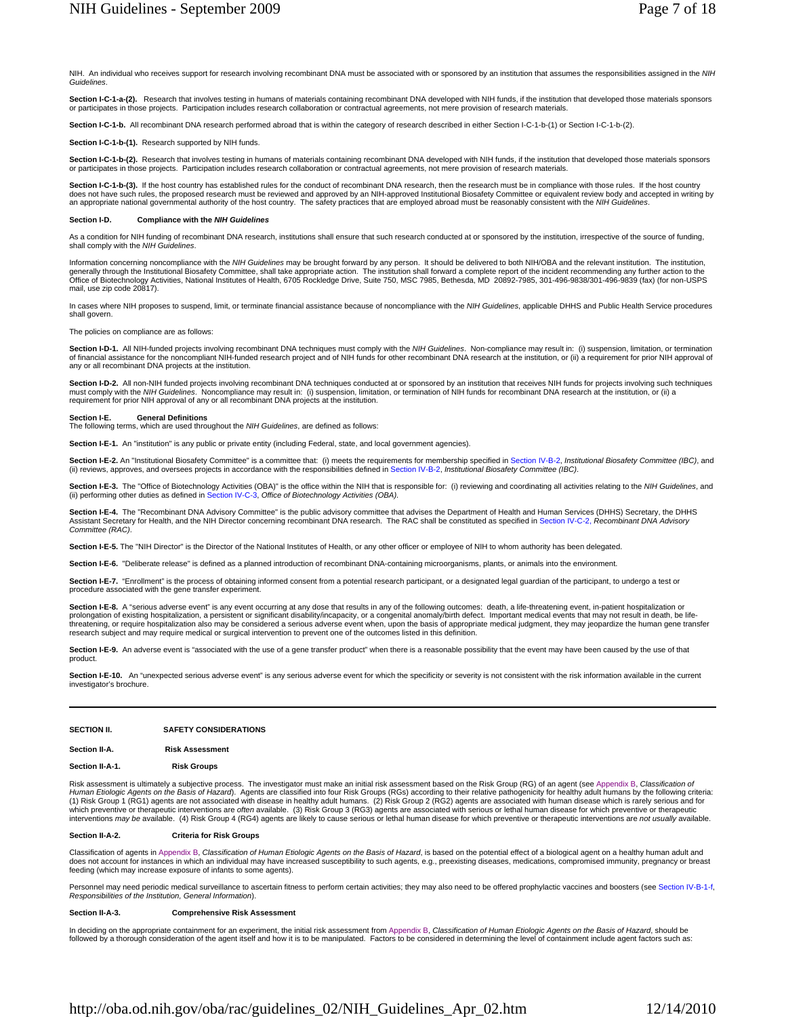NIH. An individual who receives support for research involving recombinant DNA must be associated with or sponsored by an institution that assumes the responsibilities assigned in the *NIH Guidelines*.

 **Section I-C-1-a-(2).** Research that involves testing in humans of materials containing recombinant DNA developed with NIH funds, if the institution that developed those materials sponsors or participates in those projects. Participation includes research collaboration or contractual agreements, not mere provision of research materials.

**Section I-C-1-b.** All recombinant DNA research performed abroad that is within the category of research described in either Section I-C-1-b-(1) or Section I-C-1-b-(2).

Section I-C-1-b-(1). Research supported by NIH funds.

 **Section I-C-1-b-(2).** Research that involves testing in humans of materials containing recombinant DNA developed with NIH funds, if the institution that developed those materials sponsors or participates in those projects. Participation includes research collaboration or contractual agreements, not mere provision of research materials.

Section I-C-1-b-(3). If the host country has established rules for the conduct of recombinant DNA research, then the research must be in compliance with those rules. If the host country<br>does not have such rules, the propos an appropriate national governmental authority of the host country. The safety practices that are employed abroad must be reasonably consistent with the *NIH Guidelines*.

# **Section I-D. Compliance with the** *NIH Guidelines*

 As a condition for NIH funding of recombinant DNA research, institutions shall ensure that such research conducted at or sponsored by the institution, irrespective of the source of funding, shall comply with the *NIH Guidelines*.

Information concerning noncompliance with the *NIH Guidelines* may be brought forward by any person. It should be delivered to both NIH/OBA and the relevant institution. The institution,<br>generally through the Institutional mail, use zip code 20817).

 In cases where NIH proposes to suspend, limit, or terminate financial assistance because of noncompliance with the *NIH Guidelines*, applicable DHHS and Public Health Service procedures shall govern.

# The policies on compliance are as follows:

 **Section I-D-1.** All NIH-funded projects involving recombinant DNA techniques must comply with the *NIH Guidelines*. Non-compliance may result in: (i) suspension, limitation, or termination of financial assistance for the noncompliant NIH-funded research project and of NIH funds for other recombinant DNA research at the institution, or (ii) a requirement for prior NIH approval of any or all recombinant DNA projects at the institution.

 **Section I-D-2.** All non-NIH funded projects involving recombinant DNA techniques conducted at or sponsored by an institution that receives NIH funds for projects involving such techniques must comply with the *NIH Guidelines*. Noncompliance may result in: (i) suspension, limitation, or termination of NIH funds for recombinant DNA research at the institution, or (ii) a<br>requirement for prior NIH approval of a

### **Section I-E. General Definitions**

The following terms, which are used throughout the *NIH Guidelines*, are defined as follows:

**Section I-E-1.** An "institution" is any public or private entity (including Federal, state, and local government agencies).

 **Section I-E-2.** An "Institutional Biosafety Committee" is a committee that: (i) meets the requirements for membership specified in Section IV-B-2, *Institutional Biosafety Committee (IBC)*, and (ii) reviews, approves, and oversees projects in accordance with the responsibilities defined in Section IV-B-2, *Institutional Biosafety Committee (IBC)*.

Section I-E-3. The "Office of Biotechnology Activities (OBA)" is the office within the NIH that is responsible for: (i) reviewing and coordinating all activities relating to the *NIH Guidelines*, and<br>(ii) performing other

**Section I-E-4.** The "Recombinant DNA Advisory Committee" is the public advisory committee that advises the Department of Health and Human Services (DHHS) Secretary, the DHHS Assistant Secretary for Health, and the NIH Director concerning recombinant DNA research. The RAC shall be constituted as specified in Section IV-C-2, *Recombinant DNA Advisory Committee (RAC)*.

Section I-E-5. The "NIH Director" is the Director of the National Institutes of Health, or any other officer or employee of NIH to whom authority has been delegated.

**Section I-E-6.** "Deliberate release" is defined as a planned introduction of recombinant DNA-containing microorganisms, plants, or animals into the environment.

 **Section I-E-7.** "Enrollment" is the process of obtaining informed consent from a potential research participant, or a designated legal guardian of the participant, to undergo a test or procedure associated with the gene transfer experiment.

 **Section I-E-8.** A "serious adverse event" is any event occurring at any dose that results in any of the following outcomes: death, a life-threatening event, in-patient hospitalization or prolongation of existing hospitalization, a persistent or significant disability/incapacity, or a congenital anomaly/birth defect. Important medical events that may not result in death, be life-<br>threatening, or require hos research subject and may require medical or surgical intervention to prevent one of the outcomes listed in this definition.

 **Section I-E-9.** An adverse event is "associated with the use of a gene transfer product" when there is a reasonable possibility that the event may have been caused by the use of that product.

Section I-E-10. An "unexpected serious adverse event" is any serious adverse event for which the specificity or severity is not consistent with the risk information available in the current investigator's brochure. 

## **SECTION II.** SAFETY CONSIDERATIONS

Section II-A. **Risk Assessment** 

# **Section II-A-1. Risk Groups**

 Risk assessment is ultimately a subjective process. The investigator must make an initial risk assessment based on the Risk Group (RG) of an agent (see Appendix B, *Classification of Human Etiologic Agents on the Basis of Hazard*). Agents are classified into four Risk Groups (RGs) according to their relative pathogenicity for healthy adult humans by the following criteria:<br>(1) Risk Group 1 (RG1) agen interventions *may be* available. (4) Risk Group 4 (RG4) agents are likely to cause serious or lethal human disease for which preventive or therapeutic interventions are *not usually* available.

### **Section II-A-2. Criteria for Risk Groups**

.<br>Classification of agents in Appendix B, *Classification of Human Etiologic Agents on the Basis of Hazard*, is based on the potential effect of a biological agent on a healthy human adult and<br>does not account for instance feeding (which may increase exposure of infants to some agents).

Personnel may need periodic medical surveillance to ascertain fitness to perform certain activities; they may also need to be offered prophylactic vaccines and boosters (see Section IV-B-1-f, *Responsibilities of the Institution, General Information*).

### **Section II-A-3. Comprehensive Risk Assessment**

In deciding on the appropriate containment for an experiment, the initial risk assessment from Appendix B, *Classification of Human Etiologic Agents on the Basis of Hazard*, should be<br>followed by a thorough consideration o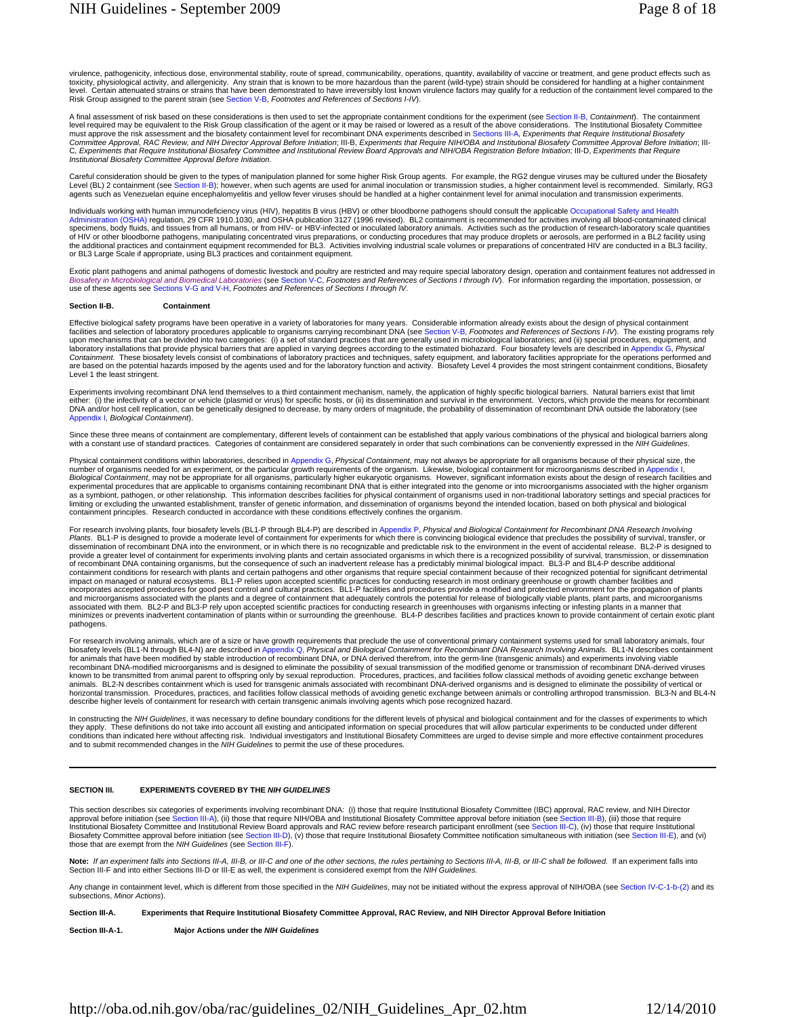virulence, pathogenicity, infectious dose, environmental stability, route of spread, communicability, operations, quantity, availability of vaccine or treatment, and gene product effects such as<br>toxicity, physiological act level. Certain attenuated strains or strains that have been demonstrated to have irreversibly lost known virulence factors may qualify for a reduction of the containment level compared to the<br>Risk Group assigned to the par

.<br>A final assessment of risk based on these considerations is then used to set the appropriate containment conditions for the experiment (see Section II-B, *Containment*). The containment<br>level required may be equivalent t must approve the risk assessment and the biosafety containment level for recombinant DNA experiments described in Sections III-A, *Experiments that Require Institutional Biosafety*<br>Committee Approval, RAC Review, and NIH D C, Experiments that Require Institutional Biosafety Committee and Institutional Review Board Approvals and NIH/OBA Registration Before Initiation; III-D, Experiments that Require<br>Institutional Biosafety Committee Approval

 Careful consideration should be given to the types of manipulation planned for some higher Risk Group agents. For example, the RG2 dengue viruses may be cultured under the Biosafety Level (BL) 2 containment (see Section Il-B); however, when such agents are used for animal inoculation or transmission studies, a higher containment level is recommended. Similarly, RG3<br>agents such as Venezuelan equine enc

Individuals working with human immunodeficiency virus (HIV), hepatitis B virus (HBV) or other bloodborne pathogens should consult the applicable Occupational Safety and Health<br>Administration (OSHA) regulation, 29 CFR 1910. the additional practices and containment equipment recommended for BL3. Activities involving industrial scale volumes or preparations of concentrated HIV are conducted in a BL3 facility,<br>or BL3 Large Scale if appropriate,

 Exotic plant pathogens and animal pathogens of domestic livestock and poultry are restricted and may require special laboratory design, operation and containment features not addressed in Biosafety in Microbiological and Biomedical Laboratories (see Section V-C, Footnotes and References of Sections I through IV). For information regarding the importation, possession, or<br>use of these agents see Sections V-G

#### Section II-B. **Containment**

 Effective biological safety programs have been operative in a variety of laboratories for many years. Considerable information already exists about the design of physical containment facilities and selection of laboratory procedures applicable to organisms carrying recombinant DNA (see Section V-B, *Footnotes and References of Sections I-IV*). The existing programs rely<br>upon mechanisms that can be divi laboratory installations that provide physical barriers that are applied in varying degrees according to the estimated biohazard. Four biosafety levels are described in Appendix G, *Physical Containment*. These biosafety levels consist of combinations of laboratory practices and techniques, safety equipment, and laboratory facilities appropriate for the operations performed and<br>are based on the potential haza Level 1 the least stringent.

.<br>Experiments involving recombinant DNA lend themselves to a third containment mechanism, namely, the application of highly specific biological barriers. Natural barriers exist that limit<br>either: (i) the infectivity of a v DNA and/or host cell replication, can be genetically designed to decrease, by many orders of magnitude, the probability of dissemination of recombinant DNA outside the laboratory (see Appendix I, *Biological Containment*).

 Since these three means of containment are complementary, different levels of containment can be established that apply various combinations of the physical and biological barriers along with a constant use of standard practices. Categories of containment are considered separately in order that such combinations can be conveniently expressed in the *NIH Guidelines*.

 Physical containment conditions within laboratories, described in Appendix G, *Physical Containment*, may not always be appropriate for all organisms because of their physical size, the number of organisms needed for an experiment, or the particular growth requirements of the organism. Likewise, biological containment for microorganisms described in Appendix I,<br>*Biological Containment*, may not be appropr experimental procedures that are applicable to organisms containing recombinant DNA that is either integrated into the genome or into microorganisms associated with the higher organism<br>as a symbiont, pathogen, or other rel limiting or excluding the unwanted establishment, transfer of genetic information, and dissemination of organisms beyond the intended location, based on both physical and biological<br>containment principles. Research conduct

 For research involving plants, four biosafety levels (BL1-P through BL4-P) are described in Appendix P, *Physical and Biological Containment for Recombinant DNA Research Involving*  Plants. BL1-P is designed to provide a moderate level of containment for experiments for which there is convincing biological evidence that precludes the possibility of survival, transfer, or dissemination of recombinant DNA into the environment, or in which there is no recognizable and predictable risk to the environment in the event of accidental release. BL2-P is designed to<br>provide a greater level of conta containment conditions for research with plants and certain pathogens and other organisms that require special containment because of their recognized potential for significant detrimental<br>impact on managed or natural ecos incorporates accepted procedures for good pest control and cultural practices. BL1-P facilities and procedures provide a modified and protected environment for the propagation of plants and microorganisms associated with the plants and a degree of containment that adequately controls the potential for release of biologically viable plants, plant parts, and microorganisms<br>associated with them. BL2-P and BL minimizes or prevents inadvertent contamination of plants within or surrounding the greenhouse. BL4-P describes facilities and practices known to provide containment of certain exotic plant pathogens.

For research involving animals, which are of a size or have growth requirements that preclude the use of conventional primary containment systems used for small laboratory animals, four biosafety levels (BL1-N through BL4-

In constructing the *NIH Guidelines*, it was necessary to define boundary conditions for the different levels of physical and biological containment and for the classes of experiments to which they apply. These definitions do not take into account all existing and anticipated information on special procedures that will allow particular experiments to be conducted under different<br>conditions than indicated here wi and to submit recommended changes in the *NIH Guidelines* to permit the use of these procedures.

# **SECTION III. EXPERIMENTS COVERED BY THE** *NIH GUIDELINES*

 This section describes six categories of experiments involving recombinant DNA: (i) those that require Institutional Biosafety Committee (IBC) approval, RAC review, and NIH Director approval before initiation (see Section III-A), (ii) those that require NIH/OBA and Institutional Biosafety Committee approval before initiation (see Section III-B), (iii) those that require<br>Institutional Biosafety Committ those that are exempt from the *NIH Guidelines* (see Section III-F).

 **Note:** *If an experiment falls into Sections III-A, III-B, or III-C and one of the other sections, the rules pertaining to Sections III-A, III-B, or III-C shall be followed*. If an experiment falls into Section III-F and into either Sections III-D or III-E as well, the experiment is considered exempt from the *NIH Guidelines*.

 Any change in containment level, which is different from those specified in the *NIH Guidelines*, may not be initiated without the express approval of NIH/OBA (see Section IV-C-1-b-(2) and its subsections, *Minor Actions*).

**Section III-A. Experiments that Require Institutional Biosafety Committee Approval, RAC Review, and NIH Director Approval Before Initiation** 

**Section III-A-1. Major Actions under the** *NIH Guidelines*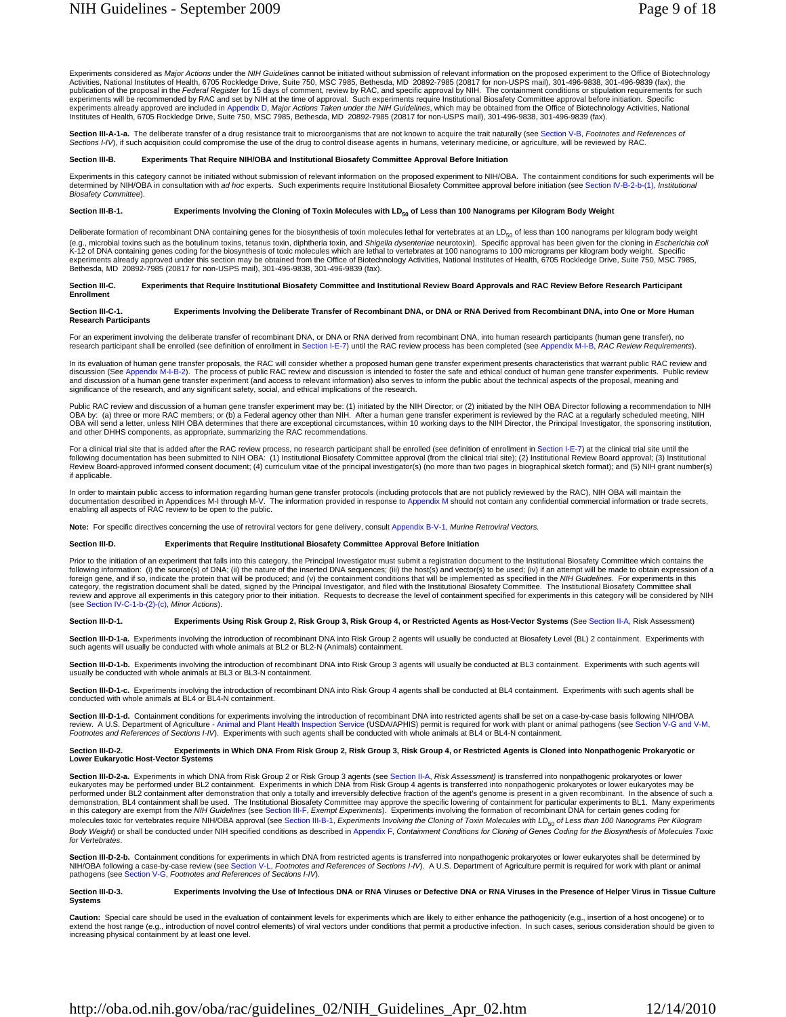Experiments considered as *Major Actions* under the *NIH Guidelines ca*nnot be initiated without submission of relevant information on the proposed experiment to the Office of Biotechnology<br>Activities, National Institutes publication of the proposal in the *Federal Register* for 15 days of comment, review by RAC, and specific approval by NIH. The containment conditions or stipulation requirements for such<br>experiments will be recommended by Institutes of Health, 6705 Rockledge Drive, Suite 750, MSC 7985, Bethesda, MD 20892-7985 (20817 for non-USPS mail), 301-496-9838, 301-496-9839 (fax).

**Section III-A-1-a.** The deliberate transfer of a drug resistance trait to microorganisms that are not known to acquire the trait naturally (see Section V-B, *Footnotes and References of*<br>S*ections I-IV*), if such acquisi

#### Section III-B. **Experiments That Require NIH/OBA and Institutional Biosafety Committee Approval Before Initiation**

 Experiments in this category cannot be initiated without submission of relevant information on the proposed experiment to NIH/OBA. The containment conditions for such experiments will be determined by NIH/OBA in consultation with *ad hoc* experts. Such experiments require Institutional Biosafety Committee approval before initiation (see Section IV-B-2-b-(1), *Institutional Biosafety Committee*).

# Section III-B-1. **Experiments Involving the Cloning of Toxin Molecules with LD<sub>50</sub> of Less than 100 Nanograms per Kilogram Body Weight**

Deliberate formation of recombinant DNA containing genes for the biosynthesis of toxin molecules lethal for vertebrates at an LD<sub>50</sub> of less than 100 nanograms per kilogram body weight (e.g., microbial toxins such as the botulinum toxins, tetanus toxin, diphtheria toxin, and S*higella dysenteriae* neurotoxin). Specific approval has been given for the cloning in *Escherichia coll*<br>K-12 of DNA containing g experiments already approved under this section may be obtained from the Office of Biotechnology Activities, National Institutes of Health, 6705 Rockledge Drive, Suite 750, MSC 7985,<br>Bethesda, MD 20892-7985 (20817 for non

### Section III-C. **Experiments that Require Institutional Biosafety Committee and Institutional Review Board Approvals and RAC Review Before Research Participant Enrollment**

#### Section III-C-1. Experiments Involving the Deliberate Transfer of Recombinant DNA, or DNA or RNA Derived from Recombinant DNA, into One or More Human **Research Participants**

 For an experiment involving the deliberate transfer of recombinant DNA, or DNA or RNA derived from recombinant DNA, into human research participants (human gene transfer), no research participant shall be enrolled (see definition of enrollment in Section I-E-7) until the RAC review process has been completed (see Appendix M-I-B, *RAC Review Requirements*).

 In its evaluation of human gene transfer proposals, the RAC will consider whether a proposed human gene transfer experiment presents characteristics that warrant public RAC review and discussion (See Appendix M-I-B-2). The process of public RAC review and discussion is intended to foster the safe and ethical conduct of human gene transfer experiments. Public review<br>and discussion of a human gene transfe significance of the research, and any significant safety, social, and ethical implications of the research.

 Public RAC review and discussion of a human gene transfer experiment may be: (1) initiated by the NIH Director; or (2) initiated by the NIH OBA Director following a recommendation to NIH OBA by: (a) three or more RAC members; or (b) a Federal agency other than NIH. After a human gene transfer experiment is reviewed by the RAC at a regularly scheduled meeting, NIH<br>OBA will send a letter, unless NIH OBA dete and other DHHS components, as appropriate, summarizing the RAC recommendations.

.<br>For a clinical trial site that is added after the RAC review process, no research participant shall be enrolled (see definition of enrollment in Section I-E-7) at the clinical trial site until the<br>following documentation Review Board-approved informed consent document; (4) curriculum vitae of the principal investigator(s) (no more than two pages in biographical sketch format); and (5) NIH grant number(s) if applicable.

ln order to maintain public access to information regarding human gene transfer protocols (including protocols that are not publicly reviewed by the RAC), NIH OBA will maintain the<br>documentation described in Appendices M-I enabling all aspects of RAC review to be open to the public.

**Note:** For specific directives concerning the use of retroviral vectors for gene delivery, consult Appendix B-V-1, *Murine Retroviral Vectors.*

# **Section III-D. Experiments that Require Institutional Biosafety Committee Approval Before Initiation**

.<br>Prior to the initiation of an experiment that falls into this category, the Principal Investigator must submit a registration document to the Institutional Biosafety Committee which contains the<br>following information: (i foreign gene, and if so, indicate the protein that will be produced; and (v) the containment conditions that will be implemented as specified in the *NIH Guidelines*. For experiments in this<br>category, the registration docu review and approve all experiments in this category prior to their initiation. Requests to decrease the level of containment specified for experiments in this category will be considered by NIH<br>(see Section IV-C-1-b-(2)-(c

# **Section III-D-1.** Experiments Using Risk Group 2, Risk Group 3, Risk Group 4, or Restricted Agents as Host-Vector Systems (See Section II-A, Risk Assessment)

Section III-D-1-a. Experiments involving the introduction of recombinant DNA into Risk Group 2 agents will usually be conducted at Biosafety Level (BL) 2 containment. Experiments with such agents will usually be conducted with whole animals at BL2 or BL2-N (Animals) containment

**Section III-D-1-b.** Experiments involving the introduction of recombinant DNA into Risk Group 3 agents will usually be conducted at BL3 containment. Experiments with such agents will usually be conducted with whole animals at BL3 or BL3-N containment.

Section III-D-1-c. Experiments involving the introduction of recombinant DNA into Risk Group 4 agents shall be conducted at BL4 containment. Experiments with such agents shall be<br>conducted with whole animals at BL4 or BL4-

 **Section III-D-1-d.** Containment conditions for experiments involving the introduction of recombinant DNA into restricted agents shall be set on a case-by-case basis following NIH/OBA review. A U.S. Department of Agriculture - Animal and Plant Health Inspection Service (USDA/APHIS) permit is required for work with plant or animal pathogens (see Section V-G and V-M,<br>Footnotes and References of Sections I

### **Section III-D-2. Experiments in Which DNA From Risk Group 2, Risk Group 3, Risk Group 4, or Restricted Agents is Cloned into Nonpathogenic Prokaryotic or Lower Eukaryotic Host-Vector Systems**

 **Section III-D-2-a.** Experiments in which DNA from Risk Group 2 or Risk Group 3 agents (see Section II-A, *Risk Assessment)* is transferred into nonpathogenic prokaryotes or lower eukaryotes may be performed under BL2 containment. Experiments in which DNA from Risk Group 4 agents is transferred into nonpathogenic prokaryotes or lower eukaryotes may be<br>performed under BL2 containment after demonstrat demonstration, BL4 containment shall be used. The Institutional Biosafety Committee may approve the specific lowering of containment for particular experiments to BL1. Many experiments<br>in this category are exempt from the molecules toxic for vertebrates require NIH/OBA approval (see Section III-B-1, *Experiments Involving the Cloning of Toxin Molecules with LD*<sup>50</sup> *of Less than 100 Nanograms Per Kilogram Body Weight*) or shall be conducted under NIH specified conditions as described in Appendix F, *Containment Conditions for Cloning of Genes Coding for the Biosynthesis of Molecules Toxic for Vertebrates*.

Section III-D-2-b. Containment conditions for experiments in which DNA from restricted agents is transferred into nonpathogenic prokaryotes or lower eukaryotes shall be determined by<br>NIH/OBA following a case-by-case review

### **Section III-D-3. Experiments Involving the Use of Infectious DNA or RNA Viruses or Defective DNA or RNA Viruses in the Presence of Helper Virus in Tissue Culture Systems**

 **Caution:** Special care should be used in the evaluation of containment levels for experiments which are likely to either enhance the pathogenicity (e.g., insertion of a host oncogene) or to extend the host range (e.g., introduction of novel control elements) of viral vectors under conditions that permit a productive infection. In such cases, serious consideration should be given to<br>increasing physical contain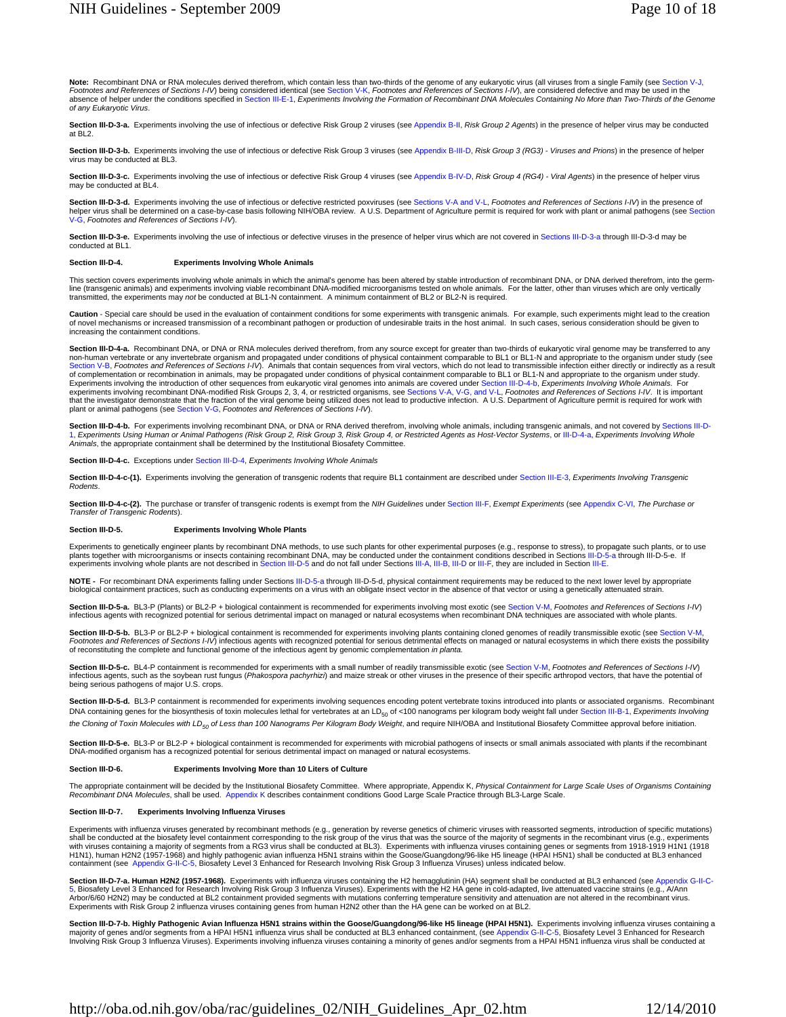**Note:** Recombinant DNA or RNA molecules derived therefrom, which contain less than two-thirds of the genome of any eukaryotic virus (all viruses from a single Family (see Section V-J, *Footnotes and References of Sections I-IV*) being considered identical (see Section V-K, *Footnotes and References of Sections I-IV*), are considered defective and may be used in the<br>absence of helper under the conditions *of any Eukaryotic Virus*.

**Section III-D-3-a.** Experiments involving the use of infectious or defective Risk Group 2 viruses (see Appendix B-II, *Risk Group 2 Agents*) in the presence of helper virus may be conducted at BL2.

**Section III-D-3-b.** Experiments involving the use of infectious or defective Risk Group 3 viruses (see Appendix B-III-D, *Risk Group 3 (RG3) - Viruses and Prions*) in the presence of helper virus may be conducted at BL3.

 **Section III-D-3-c.** Experiments involving the use of infectious or defective Risk Group 4 viruses (see Appendix B-IV-D, *Risk Group 4 (RG4) - Viral Agents*) in the presence of helper virus may be conducted at BL4.

**Section III-D-3-d.** Experiments involving the use of infectious or defective restricted poxviruses (see Sections V-A and V-L, *Footnotes and References of Sections I-IV*) in the presence of<br>helper virus shall be determine V-G, *Footnotes and References of Sections I-IV*).

Section III-D-3-e. Experiments involving the use of infectious or defective viruses in the presence of helper virus which are not covered in Sections III-D-3-a through III-D-3-d may be conducted at BL1.

## **Section III-D-4. Experiments Involving Whole Animals**

.<br>This section covers experiments involving whole animals in which the animal's genome has been altered by stable introduction of recombinant DNA, or DNA derived therefrom, into the germ-<br>line (transgenic animals) and expe transmitted, the experiments may *not* be conducted at BL1-N containment. A minimum containment of BL2 or BL2-N is required.

**Caution** - Special care should be used in the evaluation of containment conditions for some experiments with transgenic animals. For example, such experiments might lead to the creation<br>of novel mechanisms or increased tr increasing the containment conditions.

Section III-D-4-a. Recombinant DNA, or DNA or RNA molecules derived therefrom, from any source except for greater than two-thirds of eukaryotic viral genome may be transferred to any non-human vertebrate or any invertebrate organism and propagated under conditions of physical containment comparable to BL1 or BL1-N and appropriate to the organism under study (see<br>Section V-B, *Footnotes and References o* of complementation or recombination in animals, may be propagated under conditions of physical containment comparable to BL1 or BL1-N and appropriate to the organism under study.<br>Experiments involving the introduction of o

Section III-D-4-b. For experiments involving recombinant DNA, or DNA or RNA derived therefrom, involving whole animals, including transgenic animals, and not covered by Sections III-D-<br>1, Experiments Using Human or Animal *Animals*, the appropriate containment shall be determined by the Institutional Biosafety Committee.

**Section III-D-4-c.** Exceptions under Section III-D-4, *Experiments Involving Whole Animals*

 **Section III-D-4-c-(1).** Experiments involving the generation of transgenic rodents that require BL1 containment are described under Section III-E-3, *Experiments Involving Transgenic Rodents*.

Section III-D-4-c-(2). The purchase or transfer of transgenic rodents is exempt from the *NIH Guidelines* under Section III-F, *Exempt Experiments* (see Appendix C-VI, The Purchase or *Transfer of Transgenic Rodents*).

#### Section III-D-5. **Experiments Involving Whole Plants**

 Experiments to genetically engineer plants by recombinant DNA methods, to use such plants for other experimental purposes (e.g., response to stress), to propagate such plants, or to use plants together with microorganisms or insects containing recombinant DNA, may be conducted under the containment conditions described in Sections III-D-5-a through III-D-5-e. If<br>experiments involving whole plants are not

NOTE - For recombinant DNA experiments falling under Sections III-D-5-a through III-D-5-d, physical containment requirements may be reduced to the next lower level by appropriate<br>biological containment practices, such as c

 **Section III-D-5-a.** BL3-P (Plants) or BL2-P + biological containment is recommended for experiments involving most exotic (see Section V-M, *Footnotes and References of Sections I-IV*) infectious agents with recognized potential for serious detrimental impact on managed or natural ecosystems when recombinant DNA techniques are associated with whole plants.

Section III-D-5-b. BL3-P or BL2-P + biological containment is recommended for experiments involving plants containing cloned genomes of readily transmissible exotic (see Section V-M,<br>Footnotes and References of Sections Iof reconstituting the complete and functional genome of the infectious agent by genomic complementation *in planta.*

Section III-D-5-c. BL4-P containment is recommended for experiments with a small number of readily transmissible exotic (see Section V-M, Footnotes and References of Sections I-IV) infectious agents, such as the soybean rust fungus (*Phakospora pachyrhizi*) and maize streak or other viruses in the presence of their specific arthropod vectors, that have the potential of being serious pathogens of major U.S. crops.

 **Section III-D-5-d.** BL3-P containment is recommended for experiments involving sequences encoding potent vertebrate toxins introduced into plants or associated organisms. Recombinant DNA containing genes for the biosynthesis of toxin molecules lethal for vertebrates at an LD<sub>50</sub> of <100 nanograms per kilogram body weight fall under Section III-B-1, *Experiments Involving* the Cloning of Toxin Molecules with LD<sub>50</sub> of Less than 100 Nanograms Per Kilogram Body Weight, and require NIH/OBA and Institutional Biosafety Committee approval before initiation.

Section III-D-5-e. BL3-P or BL2-P + biological containment is recommended for experiments with microbial pathogens of insects or small animals associated with plants if the recombinant<br>DNA-modified organism has a recognize

#### Section III-D-6 **Experiments Involving More than 10 Liters of Culture**

The appropriate containment will be decided by the Institutional Biosafety Committee. Where appropriate, Appendix K, *Physical Containment for Large Scale Uses of Organisms Containing Recombinant DNA Molecules*, shall be used. Appendix K describes containment conditions Good Large Scale Practice through BL3-Large Scale.

# **Section III-D-7. Experiments Involving Influenza Viruses**

.<br>Experiments with influenza viruses generated by recombinant methods (e.g., generation by reverse genetics of chimeric viruses with reassorted segments, introduction of specific mutations)<br>shall be conducted at the biosaf with viruses containing a majority of segments from a RG3 virus shall be conducted at BL3). Experiments with influenza viruses containing genes or segments from 1918-1919 H1N1 (1918<br>H1N1), human H2N2 (1957-1968) and highly

Section III-D-7-a. Human H2N2 (1957-1968). Experiments with influenza viruses containing the H2 hemagglutinin (HA) segment shall be conducted at BL3 enhanced (see Appendix G-II-C-<br>5, Biosafety Level 3 Enhanced for Research

**Section III-D-7-b. Highly Pathogenic Avian Influenza H5N1 strains within the Goose/Gua<mark>ngdong/96-like H5 lineage (HPAI H5N1).</mark> Experiments involving influenza viruses containing a<br>majority of genes and/or segments from a** Involving Risk Group 3 Influenza Viruses). Experiments involving influenza viruses containing a minority of genes and/or segments from a HPAI H5N1 influenza virus shall be conducted at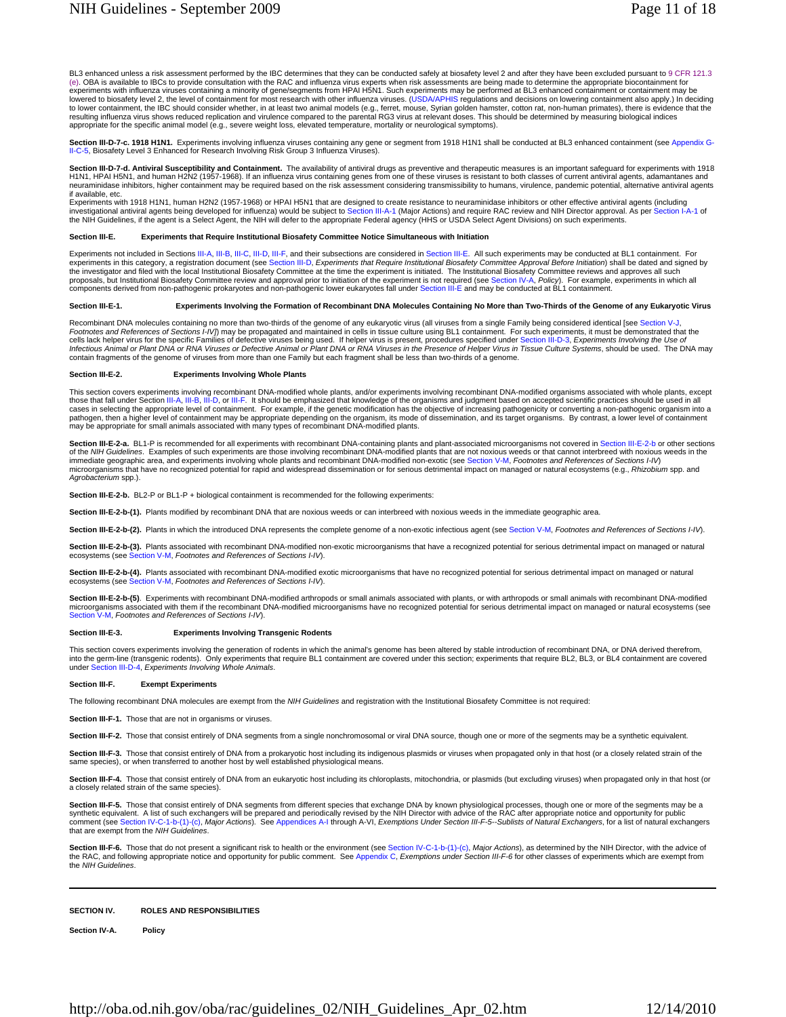BL3 enhanced unless a risk assessment performed by the IBC determines that they can be conducted safely at biosafety level 2 and after they have been excluded pursuant to 9 CFR 121.3<br>(e). OBA is available to IBCs to provid experiments with influenza viruses containing a minority of gene/segments from HPAI H5N1. Such experiments may be performed at BL3 enhanced containment or containment may be<br>lowered to biosafety level 2, the level of conta to lower containment, the IBC should consider whether, in at least two animal models (e.g., ferret, mouse, Syrian golden hamster, cotton rat, non-human primates), there is evidence that the resulting influenza virus shows reduced replication and virulence compared to the parental RG3 virus at relevant doses. This should be determined by measuring biological indices appropriate for the specific animal model (e.g., severe weight loss, elevated temperature, mortality or neurological symptoms).

 **Section III-D-7-c. 1918 H1N1.** Experiments involving influenza viruses containing any gene or segment from 1918 H1N1 shall be conducted at BL3 enhanced containment (see Appendix G-II-C-5, Biosafety Level 3 Enhanced for Research Involving Risk Group 3 Influenza Viruses).

**Section III-D-7-d. Antiviral Susceptibility and Containment.** The availability of antiviral drugs as preventive and therapeutic measures is an important safeguard for experiments with 1918<br>H1N1, HPAI H5N1, and human H2N2 neuraminidase inhibitors, higher containment may be required based on the risk assessment considering transmissibility to humans, virulence, pandemic potential, alternative antiviral agents if available, etc.

Experiments with 1918 H1N1, human H2N2 (1957-1968) or HPAI H5N1 that are designed to create resistance to neuraminidase inhibitors or other effective antiviral agents (including<br>investigational antiviral agents being devel the NIH Guidelines, if the agent is a Select Agent, the NIH will defer to the appropriate Federal agency (HHS or USDA Select Agent Divisions) on such experiments.

### **Experiments that Require Institutional Biosafety Committee Notice Simultaneous with Initiation**

 Experiments not included in Sections III-A, III-B, III-C, III-D, III-F, and their subsections are considered in Section III-E. All such experiments may be conducted at BL1 containment. For experiments in this category, a registration document (see Section III-D, *Experiments that Require Institutional Biosafety Committee Approval Before Initiation*) shall be dated and signed by<br>the investigator and filed wit proposals, but Institutional Biosafety Committee review and approval prior to initiation of the experiment is not required (see Section IV-A, *Policy*). For example, experiments in which all<br>components derived from non-pat

#### Section III-E-1. Experiments Involving the Formation of Recombinant DNA Molecules Containing No More than Two-Thirds of the Genome of any Eukaryotic Virus

Recombinant DNA molecules containing no more than two-thirds of the genome of any eukaryotic virus (all viruses from a single Family being considered identical [see Section V-J, *Footnotes and References of Sections I-IV]*) may be propagated and maintained in cells in tissue culture using BL1 containment. For such experiments, it must be demonstrated that the<br>cells lack helper virus for the specif contain fragments of the genome of viruses from more than one Family but each fragment shall be less than two-thirds of a genome.

## **Section III-E-2. Experiments Involving Whole Plants**

This section covers experiments involving recombinant DNA-modified whole plants, and/or experiments involving recombinant DNA-modified organisms associated with whole plants, except<br>those that fall under Section III-A, III pathogen, then a higher level of containment may be appropriate depending on the organism, its mode of dissemination, and its target organisms. By contrast, a lower level of containment may be appropriate for small animals associated with many types of recombinant DNA-modified plants.

 **Section III-E-2-a.** BL1-P is recommended for all experiments with recombinant DNA-containing plants and plant-associated microorganisms not covered in Section III-E-2-b or other sections of the *NIH Guidelines*. Examples of such experiments are those involving recombinant DNA-modified plants that are not noxious weeds or that cannot interbreed with noxious weeds in the immediate geographic area, and experiments involving whole plants and recombinant DNA-modified non-exotic (see Section V-M, *Footnotes and References of Sections I-IV*) microorganisms that have no recognized potential for rapid and widespread dissemination or for serious detrimental impact on managed or natural ecosystems (e.g., *Rhizobium* spp. and *Agrobacterium* spp.).

**Section III-E-2-b.** BL2-P or BL1-P + biological containment is recommended for the following experiments:

**Section III-E-2-b-(1).** Plants modified by recombinant DNA that are noxious weeds or can interbreed with noxious weeds in the immediate geographic area.

Section III-E-2-b-(2). Plants in which the introduced DNA represents the complete genome of a non-exotic infectious agent (see Section V-M, *Footnotes and References of Sections I-IV*).

Section III-E-2-b-(3). Plants associated with recombinant DNA-modified non-exotic microorganisms that have a recognized potential for serious detrimental impact on managed or natural ecosystems (see Section V-M, *Footnotes and References of Sections I-IV*).

 **Section III-E-2-b-(4).** Plants associated with recombinant DNA-modified exotic microorganisms that have no recognized potential for serious detrimental impact on managed or natural ecosystems (see Section V-M, *Footnotes and References of Sections I-IV*).

 **Section III-E-2-b-(5)**. Experiments with recombinant DNA-modified arthropods or small animals associated with plants, or with arthropods or small animals with recombinant DNA-modified microorganisms associated with them if the recombinant DNA-modified microorganisms have no recognized potential for serious detrimental impact on managed or natural ecosystems (see Section V-M, *Footnotes and References of Sections I-IV*).

#### Section III-E-3. **Experiments Involving Transgenic Rodents**

 This section covers experiments involving the generation of rodents in which the animal's genome has been altered by stable introduction of recombinant DNA, or DNA derived therefrom, into the germ-line (transgenic rodents). Only experiments that require BL1 containment are covered under this section; experiments that require BL2, BL3, or BL4 containment are covered<br>under Section III-D-4, *Experiments I* 

#### Section III-F. **Exempt Experiments**

The following recombinant DNA molecules are exempt from the *NIH Guidelines* and registration with the Institutional Biosafety Committee is not required:

**Section III-F-1.** Those that are not in organisms or viruses.

**Section III-F-2.** Those that consist entirely of DNA segments from a single nonchromosomal or viral DNA source, though one or more of the segments may be a synthetic equivalent.

**Section III-F-3.** Those that consist entirely of DNA from a prokaryotic host including its indigenous plasmids or viruses when propagated only in that host (or a closely related strain of the same species), or when transferred to another host by well established physiological means.

Section III-F-4. Those that consist entirely of DNA from an eukaryotic host including its chloroplasts, mitochondria, or plasmids (but excluding viruses) when propagated only in that host (or a closely related strain of the same species).

Section III-F-5. Those that consist entirely of DNA segments from different species that exchange DNA by known physiological processes, though one or more of the segments may be a<br>synthetic equivalent. A list of such excha that are exempt from the *NIH Guidelines*.

 **Section III-F-6.** Those that do not present a significant risk to health or the environment (see Section IV-C-1-b-(1)-(c), *Major Actions*), as determined by the NIH Director, with the advice of the RAC, and following appropriate notice and opportunity for public comment. See Appendix C, *Exemptions under Section III-F-6* for other classes of experiments which are exempt from the *NIH Guidelines*.

**SECTION IV. ROLES AND RESPONSIBILITIES** 

**Section IV-A. Policy**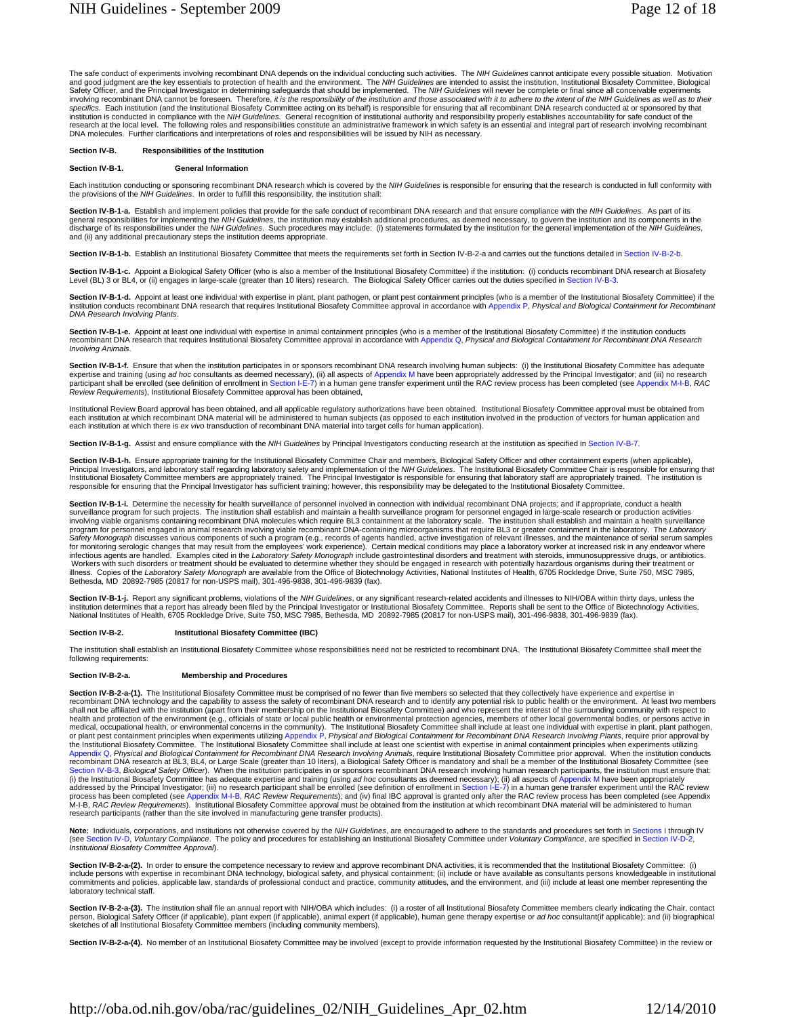The safe conduct of experiments involving recombinant DNA depends on the individual conducting such activities. The *NIH Guidelines* cannot anticipate every possible situation. Motivation<br>and good judgment are the key esse Safety Officer, and the Principal Investigator in determining safeguards that should be implemented. The *NIH Guidelines* will never be complete or final since all conceivable experiments<br>involving recombinant DNA cannot b specifics. Each institution (and the Institutional Biosafety Committee acting on its behalf) is responsible for ensuring that all recombinant DNA research conducted at or sponsored by that institution is conducted in compliance with the *NIH Guidelines*. General recognition of institutional authority and responsibility properly establishes accountability for safe conduct of the<br>research at the local level. T DNA molecules. Further clarifications and interpretations of roles and responsibilities will be issued by NIH as necessary.

# **Section IV-B. Responsibilities of the Institution**

### Section IV-B-1. **General Information**

Each institution conducting or sponsoring recombinant DNA research which is covered by the *NIH Guidelines* is responsible for ensuring that the research is conducted in full conformity with<br>the provisions of the *NIH Guid* 

 **Section IV-B-1-a.** Establish and implement policies that provide for the safe conduct of recombinant DNA research and that ensure compliance with the *NIH Guidelines*. As part of its general responsibilities for implementing the *NIH Guideline*s, the institution may establish additional procedures, as deemed necessary, to govern the institution and its components in the<br>discharge of its responsibilitie and (ii) any additional precautionary steps the institution deems appropriate.

**Section IV-B-1-b.** Establish an Institutional Biosafety Committee that meets the requirements set forth in Section IV-B-2-a and carries out the functions detailed in Section IV-B-2-b.

 **Section IV-B-1-c.** Appoint a Biological Safety Officer (who is also a member of the Institutional Biosafety Committee) if the institution: (i) conducts recombinant DNA research at Biosafety Level (BL) 3 or BL4, or (ii) engages in large-scale (greater than 10 liters) research. The Biological Safety Officer carries out the duties specified in Section IV-B-3.

Section IV-B-1-d. Appoint at least one individual with expertise in plant, plant pathogen, or plant pest containment principles (who is a member of the Institutional Biosafety Committee) if the<br>institution conducts recombi *DNA Research Involving Plants*.

 **Section IV-B-1-e.** Appoint at least one individual with expertise in animal containment principles (who is a member of the Institutional Biosafety Committee) if the institution conducts recombinant DNA research that requires Institutional Biosafety Committee approval in accordance with Appendix Q, *Physical and Biological Containment for Recombinant DNA Research Involving Animals*.

 **Section IV-B-1-f.** Ensure that when the institution participates in or sponsors recombinant DNA research involving human subjects: (i) the Institutional Biosafety Committee has adequate expertise and training (using *ad hoc* consultants as deemed necessary), (ii) all aspects of Appendix M have been appropriately addressed by the Principal Investigator; and (iii) no research<br>participant shall be enrolled ( *Review Requirements*), Institutional Biosafety Committee approval has been obtained,

Institutional Review Board approval has been obtained, and all applicable regulatory authorizations have been obtained. Institutional Biosafety Committee approval must be obtained from<br>each institution at which recombinant

**Section IV-B-1-g.** Assist and ensure compliance with the *NIH Guidelines* by Principal Investigators conducting research at the institution as specified in Section IV-B-7.

 **Section IV-B-1-h.** Ensure appropriate training for the Institutional Biosafety Committee Chair and members, Biological Safety Officer and other containment experts (when applicable), Principal Investigators, and laboratory staff regarding laboratory safety and implementation of the *NIH Guidelines*. The Institutional Biosafety Committee Chair is responsible for ensuring that<br>Institutional Biosafety Com responsible for ensuring that the Principal Investigator has sufficient training; however, this responsibility may be delegated to the Institutional Biosafety Committee.

Section IV-B-1-i. Determine the necessity for health surveillance of personnel involved in connection with individual recombinant DNA projects; and if appropriate, conduct a health<br>surveillance program for such projects. T involving viable organisms containing recombinant DNA molecules which require BL3 containment at the laboratory scale. The institution shall establish and maintain a health surveillance<br>program for personnel engaged in ani *Safety Monograph* discusses various components of such a program (e.g., records of agents handled, active investigation of relevant illnesses, and the maintenance of serial serum samples for monitoring serologic changes that may result from the employees' work experience). Certain medical conditions may place a laboratory worker at increased risk in any endeavor where infectious agents are handled. Example

Section IV-B-1-j. Report any significant problems, violations of the *NIH Guidelines*, or any significant research-related accidents and illnesses to NIH/OBA within thirty days, unless the<br>institution determines that a rep

# **Section IV-B-2. Institutional Biosafety Committee (IBC)**

 The institution shall establish an Institutional Biosafety Committee whose responsibilities need not be restricted to recombinant DNA. The Institutional Biosafety Committee shall meet the following requirements:

#### Section IV-B-2-a. **Membership and Procedures**

 **Section IV-B-2-a-(1).** The Institutional Biosafety Committee must be comprised of no fewer than five members so selected that they collectively have experience and expertise in recombinant DNA technology and the capability to assess the safety of recombinant DNA research and to identify any potential risk to public health or the environment. At least two members<br>shall not be affiliated with the i medical, occupational health, or environmental concerns in the community). The Institutional Biosafety Committee shall include at least one individual with expertise in plant, plant pathogen,<br>or plant pest containment prin the Institutional Biosafety Committee. The Institutional Biosafety Committee shall include at least one scientist with expertise in animal containment principles when experiments utilizing<br>Appendix Q, Physical and Biologic recombinant DNA research at BL3, BL4, or Large Scale (greater than 10 liters), a Biological Safety Officer is mandatory and shall be a member of the Institutional Biosafety Committee (see<br>Section IV-B-3, *Biological Safety* M-I-B, *RAC Review Requirements*). Institutional Biosafety Committee approval must be obtained from the institution at which recombinant DNA material will be administered to human<br>research participants (rather than the sit

 **Note:** Individuals, corporations, and institutions not otherwise covered by the *NIH Guidelines*, are encouraged to adhere to the standards and procedures set forth in Sections I through IV (see Section IV-D, *Voluntary Compliance*. The policy and procedures for establishing an Institutional Biosafety Committee under *Voluntary Compliance*, are specified in Section IV-D-2, *Institutional Biosafety Committee Approval*).

 **Section IV-B-2-a-(2).** In order to ensure the competence necessary to review and approve recombinant DNA activities, it is recommended that the Institutional Biosafety Committee: (i) include persons with expertise in recombinant DNA technology, biological safety, and physical containment; (ii) include or have available as consultants persons knowledgeable in institutional<br>commitments and policies, appl laboratory technical staff.

 **Section IV-B-2-a-(3).** The institution shall file an annual report with NIH/OBA which includes: (i) a roster of all Institutional Biosafety Committee members clearly indicating the Chair, contact person, Biological Safety Officer (if applicable), plant expert (if applicable), animal expert (if applicable), human gene therapy expertise or *ad hoc* consultant(if applicable); and (ii) biographical<br>sketches of all Inst

**Section IV-B-2-a-(4).** No member of an Institutional Biosafety Committee may be involved (except to provide information requested by the Institutional Biosafety Committee) in the review or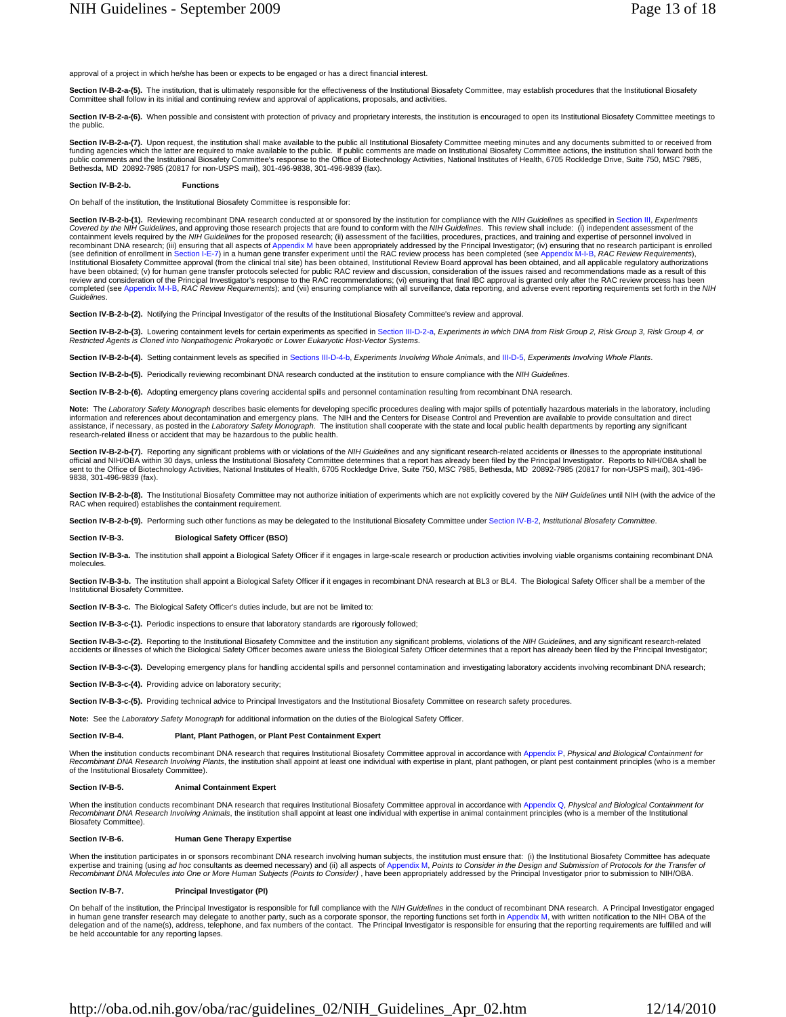approval of a project in which he/she has been or expects to be engaged or has a direct financial interest.

 **Section IV-B-2-a-(5).** The institution, that is ultimately responsible for the effectiveness of the Institutional Biosafety Committee, may establish procedures that the Institutional Biosafety Committee shall follow in its initial and continuing review and approval of applications, proposals, and activities.

 **Section IV-B-2-a-(6).** When possible and consistent with protection of privacy and proprietary interests, the institution is encouraged to open its Institutional Biosafety Committee meetings to the public.

 **Section IV-B-2-a-(7).** Upon request, the institution shall make available to the public all Institutional Biosafety Committee meeting minutes and any documents submitted to or received from funding agencies which the latter are required to make available to the public. If public comments are made on Institutional Biosafety Committee actions, the institution shall forward both the<br>public comments and the Insti Bethesda, MD 20892-7985 (20817 for non-USPS mail), 301-496-9838, 301-496-9839 (fax).

# **Section IV-B-2-b. Functions**

On behalf of the institution, the Institutional Biosafety Committee is responsible for:

Section IV-B-2-b-(1). Reviewing recombinant DNA research conducted at or sponsored by the institution for compliance with the *NIH Guidelines* as specified in Section III, Experiments<br>Covered by the NIH Guidelines, and app recombinant DNA research; (iii) ensuring that all aspects of Appendix M have been appropriately addressed by the Principal Investigator; (iv) ensuring that no research participant is enrolled<br>(see definition of enrollment Institutional Biosafety Committee approval (from the clinical trial site) has been obtained, Institutional Review Board approval has been obtained, and all applicable regulatory authorizations<br>have been obtained; (v) for h review and consideration of the Principal Investigator's response to the RAC recommendations; (vi) ensuring that final IBC approval is granted only after the RAC review process has been completed (see Appendix M-I-B, *RAC Review Requirements*); and (vii) ensuring compliance with all surveillance, data reporting, and adverse event reporting requirements set forth in the *NIH Guidelines*.

**Section IV-B-2-b-(2).** Notifying the Principal Investigator of the results of the Institutional Biosafety Committee's review and approval.

 **Section IV-B-2-b-(3).** Lowering containment levels for certain experiments as specified in Section III-D-2-a, *Experiments in which DNA from Risk Group 2, Risk Group 3, Risk Group 4, or Restricted Agents is Cloned into Nonpathogenic Prokaryotic or Lower Eukaryotic Host-Vector Systems*.

**Section IV-B-2-b-(4).** Setting containment levels as specified in Sections III-D-4-b, *Experiments Involving Whole Animals*, and III-D-5, *Experiments Involving Whole Plants*.

**Section IV-B-2-b-(5).** Periodically reviewing recombinant DNA research conducted at the institution to ensure compliance with the *NIH Guidelines*.

Section IV-B-2-b-(6). Adopting emergency plans covering accidental spills and personnel contamination resulting from recombinant DNA research.

Note: The Laboratory Safety Monograph describes basic elements for developing specific procedures dealing with major spills of potentially hazardous materials in the laboratory, including<br>information and references about d

Section IV-B-2-b-(7). Reporting any significant problems with or violations of the *NIH Guidelines* and any significant research-related accidents or illnesses to the appropriate institutional<br>official and NIH/OBA within 3 9838, 301-496-9839 (fax).

 **Section IV-B-2-b-(8).** The Institutional Biosafety Committee may not authorize initiation of experiments which are not explicitly covered by the *NIH Guidelines* until NIH (with the advice of the RAC when required) establishes the containment requirement.

**Section IV-B-2-b-(9).** Performing such other functions as may be delegated to the Institutional Biosafety Committee under Section IV-B-2, *Institutional Biosafety Committee*.

# **Section IV-B-3. Biological Safety Officer (BSO)**

 **Section IV-B-3-a.** The institution shall appoint a Biological Safety Officer if it engages in large-scale research or production activities involving viable organisms containing recombinant DNA molecules.

 **Section IV-B-3-b.** The institution shall appoint a Biological Safety Officer if it engages in recombinant DNA research at BL3 or BL4. The Biological Safety Officer shall be a member of the Institutional Biosafety Committee.

**Section IV-B-3-c.** The Biological Safety Officer's duties include, but are not be limited to:

Section IV-B-3-c-(1). Periodic inspections to ensure that laboratory standards are rigorously followed;

 **Section IV-B-3-c-(2).** Reporting to the Institutional Biosafety Committee and the institution any significant problems, violations of the *NIH Guidelines*, and any significant research-related accidents or illnesses of which the Biological Safety Officer becomes aware unless the Biological Safety Officer determines that a report has already been filed by the Principal Investigator;

Section IV-B-3-c-(3). Developing emergency plans for handling accidental spills and personnel contamination and investigating laboratory accidents involving recombinant DNA research;

**Section IV-B-3-c-(4).** Providing advice on laboratory security;

**Section IV-B-3-c-(5).** Providing technical advice to Principal Investigators and the Institutional Biosafety Committee on research safety procedures.

**Note:** See the *Laboratory Safety Monograph* for additional information on the duties of the Biological Safety Officer.

Section IV-B-4. **Plant, Plant Pathogen, or Plant Pest Containment Expert** 

 When the institution conducts recombinant DNA research that requires Institutional Biosafety Committee approval in accordance with Appendix P, *Physical and Biological Containment for Recombinant DNA Research Involving Plants*, the institution shall appoint at least one individual with expertise in plant, plant pathogen, or plant pest containment principles (who is a member of the Institutional Biosafety Committee).

# **Section IV-B-5. Animal Containment Expert**

When the institution conducts recombinant DNA research that requires Institutional Biosafety Committee approval in accordance with Appendix Q, *Physical and Biological Containment for Recombinant DNA Research Involving Animals*, the institution shall appoint at least one individual with expertise in animal containment principles (who is a member of the Institutional Biosafety Committee).

#### Section IV-R-6 **Human Gene Therapy Expertise**

.<br>When the institution participates in or sponsors recombinant DNA research involving human subjects, the institution must ensure that: (i) the Institutional Biosafety Committee has adequate<br>expertise and training (using Recombinant DNA Molecules into One or More Human Subjects (Points to Consider), have been appropriately addressed by the Principal Investigator prior to submission to NIH/OBA.

# Section IV-B-7. **Principal Investigator (PI)**

 On behalf of the institution, the Principal Investigator is responsible for full compliance with the *NIH Guidelines* in the conduct of recombinant DNA research. A Principal Investigator engaged in human gene transfer research may delegate to another party, such as a corporate sponsor, the reporting functions set forth in Appendix M, with written notification to the NIH OBA of the<br>delegation and of the name(s), ad be held accountable for any reporting lapses.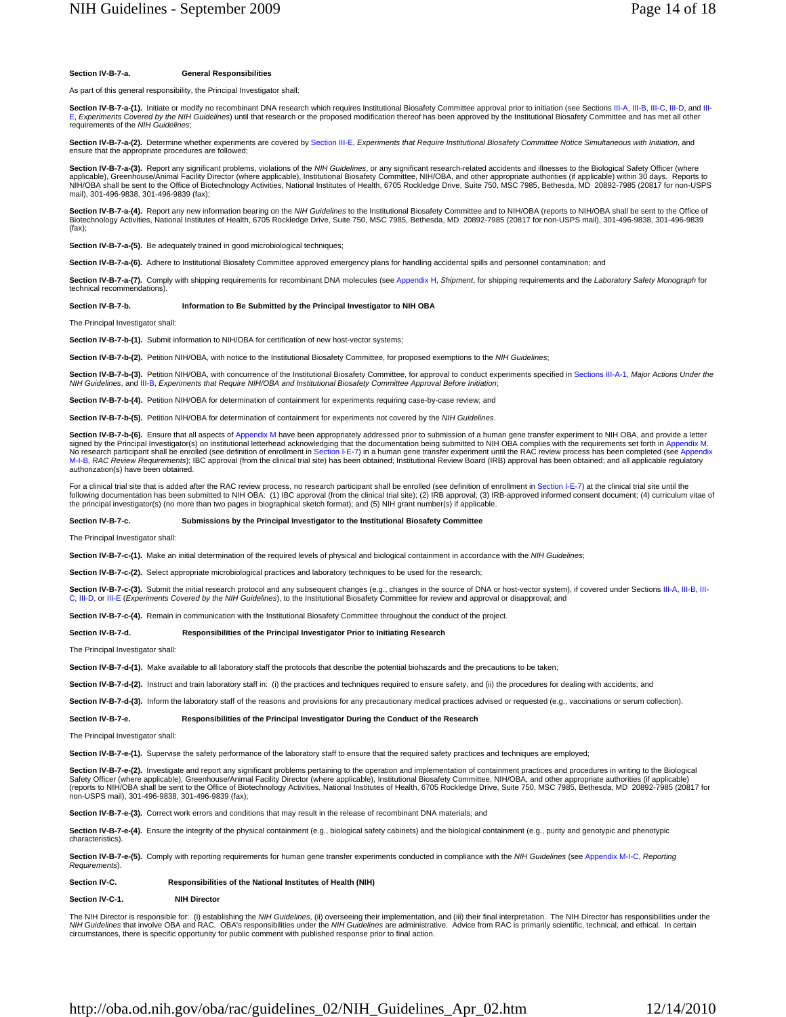# **Section IV-B-7-a. General Responsibilities**

As part of this general responsibility, the Principal Investigator shall:

 **Section IV-B-7-a-(1).** Initiate or modify no recombinant DNA research which requires Institutional Biosafety Committee approval prior to initiation (see Sections III-A, III-B, III-C, III-D, and III-E, *Experiments Covered by the NIH Guidelines*) until that research or the proposed modification thereof has been approved by the Institutional Biosafety Committee and has met all other requirements of the *NIH Guidelines*;

 **Section IV-B-7-a-(2).** Determine whether experiments are covered by Section III-E, *Experiments that Require Institutional Biosafety Committee Notice Simultaneous with Initiation*, and ensure that the appropriate procedures are followed;

Section IV-B-7-a-(3). Report any significant problems, violations of the *NIH Guidelines*, or any significant research-related accidents and illnesses to the Biological Safety Officer (where<br>applicable), Greenhouse/Animal NIH/OBA shall be sent to the Office of Biotechnology Activities, National Institutes of Health, 6705 Rockledge Drive, Suite 750, MSC 7985, Bethesda, MD 20892-7985 (20817 for non-USPS mail), 301-496-9838, 301-496-9839 (fax);

 **Section IV-B-7-a-(4).** Report any new information bearing on the *NIH Guidelines* to the Institutional Biosafety Committee and to NIH/OBA (reports to NIH/OBA shall be sent to the Office of Biotechnology Activities, National Institutes of Health, 6705 Rockledge Drive, Suite 750, MSC 7985, Bethesda, MD 20892-7985 (20817 for non-USPS mail), 301-496-9838, 301-496-9839 (fax);

**Section IV-B-7-a-(5).** Be adequately trained in good microbiological techniques;

Section IV-B-7-a-(6). Adhere to Institutional Biosafety Committee approved emergency plans for handling accidental spills and personnel contamination; and

 **Section IV-B-7-a-(7).** Comply with shipping requirements for recombinant DNA molecules (see Appendix H, *Shipment*, for shipping requirements and the *Laboratory Safety Monograph* for technical recommendations).

#### Section IV-B-7-b. **Information to Be Submitted by the Principal Investigator to NIH OBA**

The Principal Investigator shall:

**Section IV-B-7-b-(1).** Submit information to NIH/OBA for certification of new host-vector systems:

**Section IV-B-7-b-(2).** Petition NIH/OBA, with notice to the Institutional Biosafety Committee, for proposed exemptions to the *NIH Guidelines*;

Section IV-B-7-b-(3). Petition NIH/OBA, with concurrence of the Institutional Biosafety Committee, for approval to conduct experiments specified in Sections III-A-1, Major Actions Under the<br>NIH Guidelines, and III-B, Exper

**Section IV-B-7-b-(4).** Petition NIH/OBA for determination of containment for experiments requiring case-by-case review; and

**Section IV-B-7-b-(5).** Petition NIH/OBA for determination of containment for experiments not covered by the *NIH Guidelines*.

 **Section IV-B-7-b-(6).** Ensure that all aspects of Appendix M have been appropriately addressed prior to submission of a human gene transfer experiment to NIH OBA, and provide a letter signed by the Principal Investigator(s) on institutional letterhead acknowledging that the documentation being submitted to NIH OBA complies with the requirements set forth in Appendix M.<br>No research participant shall be e M-I-B, *RAC Review Requirements*); IBC approval (from the clinical trial site) has been obtained; Institutional Review Board (IRB) approval has been obtained; and all applicable regulatory authorization(s) have been obtained.

.<br>For a clinical trial site that is added after the RAC review process, no research participant shall be enrolled (see definition of enrollment in Section I-E-7) at the clinical trial site until the<br>following documentatio the principal investigator(s) (no more than two pages in biographical sketch format); and (5) NIH grant number(s) if applicable.

#### Section IV-R-7-c Submissions by the Principal Investigator to the Institutional Biosafety Committee

The Principal Investigator shall:

**Section IV-B-7-c-(1).** Make an initial determination of the required levels of physical and biological containment in accordance with the *NIH Guidelines*;

**Section IV-B-7-c-(2).** Select appropriate microbiological practices and laboratory techniques to be used for the research;

Section IV-B-7-c-(3). Submit the initial research protocol and any subsequent changes (e.g., changes in the source of DNA or host-vector system), if covered under Sections III-A, III-B, III-<br>C, III-D, or III-E (*Experiment* 

**Section IV-B-7-c-(4).** Remain in communication with the Institutional Biosafety Committee throughout the conduct of the project.

#### Section IV-B-7-d. Responsibilities of the Principal Investigator Prior to Initiating Research

The Principal Investigator shall:

**Section IV-B-7-d-(1).** Make available to all laboratory staff the protocols that describe the potential biohazards and the precautions to be taken;

**Section IV-B-7-d-(2).** Instruct and train laboratory staff in: (i) the practices and techniques required to ensure safety, and (ii) the procedures for dealing with accidents; and

**Section IV-B-7-d-(3).** Inform the laboratory staff of the reasons and provisions for any precautionary medical practices advised or requested (e.g., vaccinations or serum collection).

Section IV-B-7-e. Responsibilities of the Principal Investigator During the Conduct of the Research

The Principal Investigator shall:

**Section IV-B-7-e-(1).** Supervise the safety performance of the laboratory staff to ensure that the required safety practices and techniques are employed;

Section IV-B-7-e-(2). Investigate and report any significant problems pertaining to the operation and implementation of containment practices and procedures in writing to the Biological<br>Safety Officer (where applicable), G non-USPS mail), 301-496-9838, 301-496-9839 (fax);

 **Section IV-B-7-e-(3).** Correct work errors and conditions that may result in the release of recombinant DNA materials; and

 **Section IV-B-7-e-(4).** Ensure the integrity of the physical containment (e.g., biological safety cabinets) and the biological containment (e.g., purity and genotypic and phenotypic characteristics).

**Section IV-B-7-e-(5).** Comply with reporting requirements for human gene transfer experiments conducted in compliance with the *NIH Guidelines* (see Appendix M-I-C, *Reporting Requirements*).

#### Section IV-C. **Responsibilities of the National Institutes of Health (NIH)**

**Section IV-C-1. NIH Director** 

The NIH Director is responsible for: (i) establishing the *NIH Guidelines*, (ii) overseeing their implementation, and (iii) their final interpretation. The NIH Director has responsibilities under the<br>*NIH Guidelines* that circumstances, there is specific opportunity for public comment with published response prior to final action.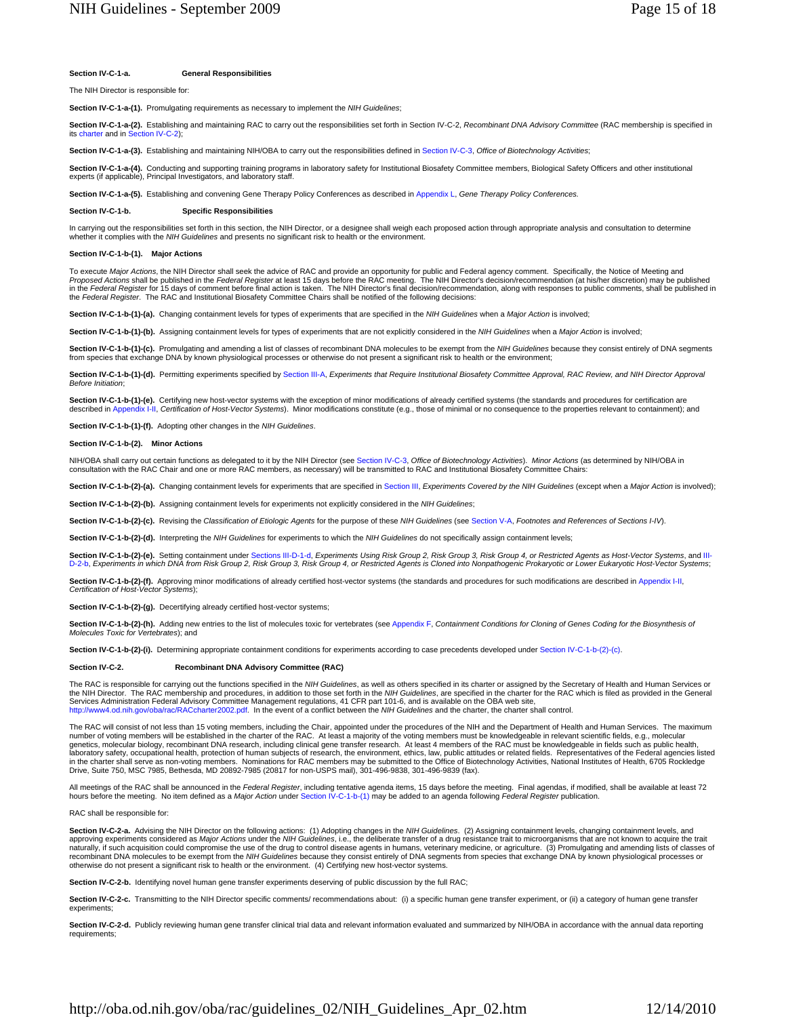## **Section IV-C-1-a. General Responsibilities**

The NIH Director is responsible for:

**Section IV-C-1-a-(1).** Promulgating requirements as necessary to implement the *NIH Guidelines*;

 **Section IV-C-1-a-(2).** Establishing and maintaining RAC to carry out the responsibilities set forth in Section IV-C-2, *Recombinant DNA Advisory Committee* (RAC membership is specified in its charter and in Section IV-C-2);

**Section IV-C-1-a-(3).** Establishing and maintaining NIH/OBA to carry out the responsibilities defined in Section IV-C-3, *Office of Biotechnology Activities*;

Section IV-C-1-a-(4). Conducting and supporting training programs in laboratory safety for Institutional Biosafety Committee members, Biological Safety Officers and other institutional<br>experts (if applicable), Principal In

**Section IV-C-1-a-(5).** Establishing and convening Gene Therapy Policy Conferences as described in Appendix L, *Gene Therapy Policy Conferences.*

#### Section IV-C-1-b. **Specific Responsibilities**

 In carrying out the responsibilities set forth in this section, the NIH Director, or a designee shall weigh each proposed action through appropriate analysis and consultation to determine whether it complies with the *NIH Guidelines* and presents no significant risk to health or the environment.

# **Section IV-C-1-b-(1). Major Actions**

 To execute *Major Actions*, the NIH Director shall seek the advice of RAC and provide an opportunity for public and Federal agency comment. Specifically, the Notice of Meeting and Proposed Actions shall be published in the *Federal Register* at least 15 days before the RAC meeting. The NIH Director's decision/recommendation (at his/her discretion) may be published<br>in the *Federal Register* for 15 da the *Federal Register*. The RAC and Institutional Biosafety Committee Chairs shall be notified of the following decisions:

**Section IV-C-1-b-(1)-(a).** Changing containment levels for types of experiments that are specified in the *NIH Guidelines* when a *Major Action* is involved;

**Section IV-C-1-b-(1)-(b).** Assigning containment levels for types of experiments that are not explicitly considered in the *NIH Guidelines* when a *Major Action* is involved;

 **Section IV-C-1-b-(1)-(c).** Promulgating and amending a list of classes of recombinant DNA molecules to be exempt from the *NIH Guidelines* because they consist entirely of DNA segments from species that exchange DNA by known physiological processes or otherwise do not present a significant risk to health or the environment;

Section IV-C-1-b-(1)-(d). Permitting experiments specified by Section III-A, Experiments that Require Institutional Biosafety Committee Approval, RAC Review, and NIH Director Approval *Before Initiation*;

 **Section IV-C-1-b-(1)-(e).** Certifying new host-vector systems with the exception of minor modifications of already certified systems (the standards and procedures for certification are described in Appendix I-II, *Certification of Host-Vector Systems*). Minor modifications constitute (e.g., those of minimal or no consequence to the properties relevant to containment); and

**Section IV-C-1-b-(1)-(f).** Adopting other changes in the *NIH Guidelines*.

# **Section IV-C-1-b-(2). Minor Actions**

NIH/OBA shall carry out certain functions as delegated to it by the NIH Director (see Section IV-C-3, O*ffice of Biotechnology Activities*). *Minor Actions* (as determined by NIH/OBA in<br>consultation with the RAC Chair and

**Section IV-C-1-b-(2)-(a).** Changing containment levels for experiments that are specified in Section III, *Experiments Covered by the NIH Guidelines* (except when a *Major Action* is involved);

**Section IV-C-1-b-(2)-(b).** Assigning containment levels for experiments not explicitly considered in the *NIH Guidelines*;

**Section IV-C-1-b-(2)-(c).** Revising the *Classification of Etiologic Agents* for the purpose of these *NIH Guidelines* (see Section V-A, *Footnotes and References of Sections I-IV*).

**Section IV-C-1-b-(2)-(d).** Interpreting the *NIH Guidelines* for experiments to which the *NIH Guidelines* do not specifically assign containment levels;

**Section IV-C-1-b-(2)-(e).** Setting containment under Sections III-D-1-d, *Experiments Using Risk Group 2, Risk Group 3, Risk Group 4, or Restricted Agents as Host-Vector Systems, and III-<br>D-2-b, <i>Experiments in which DNA* 

 **Section IV-C-1-b-(2)-(f).** Approving minor modifications of already certified host-vector systems (the standards and procedures for such modifications are described in Appendix I-II, *Certification of Host-Vector Systems*);

**Section IV-C-1-b-(2)-(g).** Decertifying already certified host-vector systems;

 **Section IV-C-1-b-(2)-(h).** Adding new entries to the list of molecules toxic for vertebrates (see Appendix F, *Containment Conditions for Cloning of Genes Coding for the Biosynthesis of Molecules Toxic for Vertebrates*); and

Section IV-C-1-b-(2)-(i). Determining appropriate containment conditions for experiments according to case precedents developed under Section IV-C-1-b-(2)-(c).

## **Section IV-C-2. Recombinant DNA Advisory Committee (RAC)**

.<br>The RAC is responsible for carrying out the functions specified in the *NIH Guidelines*, as well as others specified in its charter or assigned by the Secretary of Health and Human Services or<br>the NIH Director. The RAC m Services Administration Federal Advisory Committee Management regulations, 41 CFR part 101-6, and is available on the OBA web site, http://www4.od.nih.gov/oba/rac/RACcharter2002.pdf. In the event of a conflict between the *NIH Guidelines* and the charter, the charter shall control.

.<br>The RAC will consist of not less than 15 voting members, including the Chair, appointed under the procedures of the NIH and the Department of Health and Human Services. The maximum<br>number of voting members will be establ genetics, molecular biology, recombinant DNA research, including clinical gene transfer research. At least 4 members of the RAC must be knowledgeable in fields such as public health,<br>laboratory safety, occupational health, in the charter shall serve as non-voting members. Nominations for RAC members may be submitted to the Office of Biotechnology Activities, National Institutes of Health, 6705 Rockledge<br>Drive, Suite 750, MSC 7985, Bethesda,

All meetings of the RAC shall be announced in the *Federal Register*, including tentative agenda items, 15 days before the meeting. Final agendas, if modified, shall be available at least 72<br>hours before the meeting. No it

# RAC shall be responsible for:

Section IV-C-2-a. Advising the NIH Director on the following actions: (1) Adopting changes in the *NIH Guidelines*. (2) Assigning containment levels, changing containment levels, and<br>approving experiments considered as *Ma* recombinant DNA molecules to be exempt from the *NIH Guidelines* because they consist entirely of DNA segments from species that exchange DNA by known physiological processes or<br>otherwise do not present a significant risk

**Section IV-C-2-b.** Identifying novel human gene transfer experiments deserving of public discussion by the full RAC;

Section IV-C-2-c. Transmitting to the NIH Director specific comments/ recommendations about: (i) a specific human gene transfer experiment, or (ii) a category of human gene transfer experiments;

 **Section IV-C-2-d.** Publicly reviewing human gene transfer clinical trial data and relevant information evaluated and summarized by NIH/OBA in accordance with the annual data reporting requirements;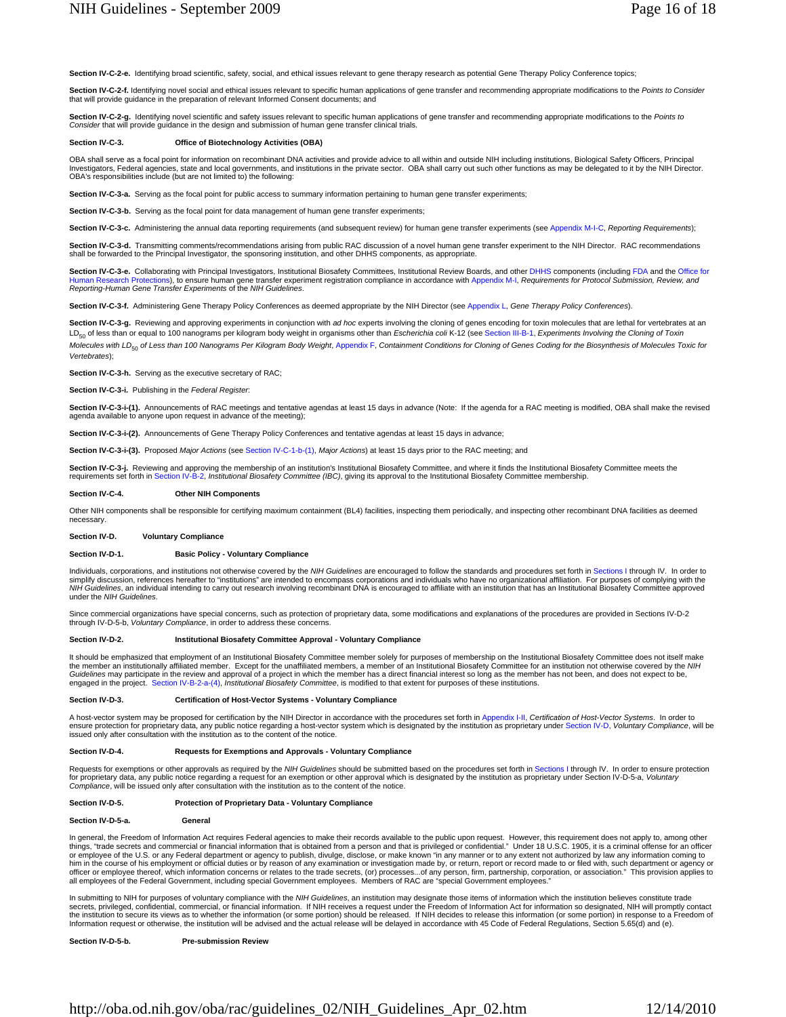Section IV-C-2-e. Identifying broad scientific, safety, social, and ethical issues relevant to gene therapy research as potential Gene Therapy Policy Conference topics;

 **Section IV-C-2-f.** Identifying novel social and ethical issues relevant to specific human applications of gene transfer and recommending appropriate modifications to the *Points to Consider* that will provide guidance in the preparation of relevant Informed Consent documents; and

Section IV-C-2-g. Identifying novel scientific and safety issues relevant to specific human applications of gene transfer and recommending appropriate modifications to the Points to<br>Consider that will provide guidance in t

## **Office of Biotechnology Activities (OBA)**

 OBA shall serve as a focal point for information on recombinant DNA activities and provide advice to all within and outside NIH including institutions, Biological Safety Officers, Principal Investigators, Federal agencies, state and local governments, and institutions in the private sector. OBA shall carry out such other functions as may be delegated to it by the NIH Director.<br>OBA's responsibilities include (

**Section IV-C-3-a.** Serving as the focal point for public access to summary information pertaining to human gene transfer experiments;

**Section IV-C-3-b.** Serving as the focal point for data management of human gene transfer experiments;

**Section IV-C-3-c.** Administering the annual data reporting requirements (and subsequent review) for human gene transfer experiments (see Appendix M-I-C, *Reporting Requirements*);

Section IV-C-3-d. Transmitting comments/recommendations arising from public RAC discussion of a novel human gene transfer experiment to the NIH Director. RAC recommendations<br>shall be forwarded to the Principal Investigator

 **Section IV-C-3-e.** Collaborating with Principal Investigators, Institutional Biosafety Committees, Institutional Review Boards, and other DHHS components (including FDA and the Office for Human Research Protections), to ensure human gene transfer experiment registration compliance in accordance with Appendix M-I, Requirements for Protocol Submission, Review, and<br>Reporting-Human Gene Transfer Experiments of

**Section IV-C-3-f.** Administering Gene Therapy Policy Conferences as deemed appropriate by the NIH Director (see Appendix L, *Gene Therapy Policy Conferences*).

 **Section IV-C-3-g.** Reviewing and approving experiments in conjunction with *ad hoc* experts involving the cloning of genes encoding for toxin molecules that are lethal for vertebrates at an LD<sub>50</sub> of less than or equal to 100 nanograms per kilogram body weight in organisms other than *Escherichia coli* K-12 (see Section III-B-1, *Experiments Involving the Cloning of Toxin* Molecules with LD<sub>50</sub> of Less than 100 Nanograms Per Kilogram Body Weight, Appendix F, Containment Conditions for Cloning of Genes Coding for the Biosynthesis of Molecules Toxic for *Vertebrates*);

**Section IV-C-3-h.** Serving as the executive secretary of RAC;

**Section IV-C-3-i.** Publishing in the *Federal Register*:

 **Section IV-C-3-i-(1).** Announcements of RAC meetings and tentative agendas at least 15 days in advance (Note: If the agenda for a RAC meeting is modified, OBA shall make the revised agenda available to anyone upon request in advance of the meeting);

**Section IV-C-3-i-(2).** Announcements of Gene Therapy Policy Conferences and tentative agendas at least 15 days in advance;

**Section IV-C-3-i-(3).** Proposed *Major Actions* (see Section IV-C-1-b-(1), *Major Actions*) at least 15 days prior to the RAC meeting; and

 **Section IV-C-3-j.** Reviewing and approving the membership of an institution's Institutional Biosafety Committee, and where it finds the Institutional Biosafety Committee meets the requirements set forth in Section IV-B-2, *Institutional Biosafety Committee (IBC)*, giving its approval to the Institutional Biosafety Committee membership.

#### Soction IV-C-4 **Other NIH Components**

 Other NIH components shall be responsible for certifying maximum containment (BL4) facilities, inspecting them periodically, and inspecting other recombinant DNA facilities as deemed necessary.

#### Section IV-D. **Voluntary Compliance**

#### Section IV-D-1. **Basic Policy - Voluntary Compliance**

Individuals, corporations, and institutions not otherwise covered by the *NIH Guidelines* are encouraged to follow the standards and procedures set forth in Sections I through IV. In order to<br>simplify discussion, reference *NIH Guidelines*, an individual intending to carry out research involving recombinant DNA is encouraged to affiliate with an institution that has an Institutional Biosafety Committee approved under the *NIH Guidelines*.

Since commercial organizations have special concerns, such as protection of proprietary data, some modifications and explanations of the procedures are provided in Sections IV-D-2 through IV-D-5-b, *Voluntary Compliance*, in order to address these concerns.

#### Section IV-D-2. **Institutional Biosafety Committee Approval - Voluntary Compliance**

 It should be emphasized that employment of an Institutional Biosafety Committee member solely for purposes of membership on the Institutional Biosafety Committee does not itself make the member an institutionally affiliated member. Except for the unaffiliated members, a member of an Institutional Biosafety Committee for an institution not otherwise covered by the *NIH Guidelines* may participate in the review and approval of a project in which the member has a direct financial interest so long as the member has not been, and does not expect to be, engaged in the project. Section IV-B-2-a-(4), *Institutional Biosafety Committee*, is modified to that extent for purposes of these institutions.

### **Section IV-D-3. Certification of Host-Vector Systems - Voluntary Compliance**

 A host-vector system may be proposed for certification by the NIH Director in accordance with the procedures set forth in Appendix I-II, *Certification of Host-Vector Systems*. In order to ensure protection for proprietary data, any public notice regarding a host-vector system which is designated by the institution as proprietary under Section IV-D, *Voluntary Compliance*, will be<br>issued only after consultat

### **Section IV-D-4. Requests for Exemptions and Approvals - Voluntary Compliance**

 Requests for exemptions or other approvals as required by the *NIH Guidelines* should be submitted based on the procedures set forth in Sections I through IV. In order to ensure protection for proprietary data, any public notice regarding a request for an exemption or other approval which is designated by the institution as proprietary under Section IV-D-5-a, *Voluntary Compliance*, will be issued only after consultation with the institution as to the content of the notice.

#### Section IV-D-5. **Protection of Proprietary Data - Voluntary Compliance**

# **Section IV-D-5-a. General**

In general, the Freedom of Information Act requires Federal agencies to make their records available to the public upon request. However, this requirement does not apply to, among other<br>things, "trade secrets and commercia him in the course of his employment or official duties or by reason of any examination or investigation made by, or return, report or record made to or filed with, such department or agency or<br>officer or employee thereof,

In submitting to NIH for purposes of voluntary compliance with the *NIH Guidelines*, an institution may designate those items of information which the institution believes constitute trade<br>secrets, privileged, confidential Information request or otherwise, the institution will be advised and the actual release will be delayed in accordance with 45 Code of Federal Regulations, Section 5.65(d) and (e).

**Section IV-D-5-b. Pre-submission Review**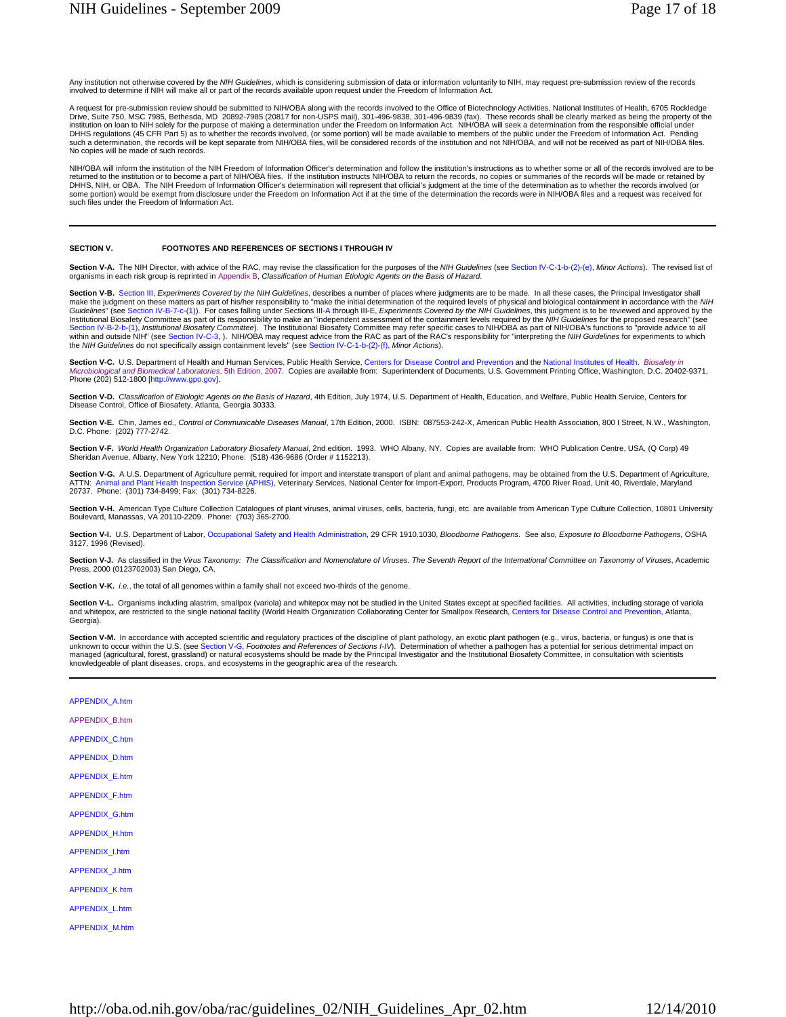Any institution not otherwise covered by the *NIH Guidelines*, which is considering submission of data or information voluntarily to NIH, may request pre-submission review of the records involved to determine if NIH will make all or part of the records available upon request under the Freedom of Information Act.

A request for pre-submission review should be submitted to NIH/OBA along with the records involved to the Office of Biotechnology Activities, National Institutes of Health, 6705 Rockledge<br>Drive, Suite 750, MSC 7985, Bethes DHHS regulations (45 CFR Part 5) as to whether the records involved, (or some portion) will be made available to members of the public under the Freedom of Information Act. Pending<br>such a determination, the records will be No copies will be made of such records.

.<br>NIH/OBA will inform the institution of the NIH Freedom of Information Officer's determination and follow the institution's instructions as to whether some or all of the records involved are to be<br>returned to the institut DHHS, NIH, or OBA. The NIH Freedom of Information Officer's determination will represent that official's judgment at the time of the determination as to whether the records involved (or<br>some portion) would be exempt from d such files under the Freedom of Information Act.

# **SECTION V. FOOTNOTES AND REFERENCES OF SECTIONS I THROUGH IV**

 **Section V-A.** The NIH Director, with advice of the RAC, may revise the classification for the purposes of the *NIH Guidelines* (see Section IV-C-1-b-(2)-(e), *Minor Actions*). The revised list of organisms in each risk group is reprinted in Appendix B, *Classification of Human Etiologic Agents on the Basis of Hazard*.

Section V-B. Section III, *Experiments Covered by the NIH Guidelines*, describes a number of places where judgments are to be made. In all these cases, the Principal Investigator shall<br>make the judgment on these matters as Guidelines" (see Section IV-B-7-c-(1)). For cases falling under Sections III-A through III-E, *Experiments Covered by the NIH Guidelines*, this judgment is to be reviewed and approved by the<br>Institutional Biosafety Committ Section IV-B-2-b-(1), *Institutional Biosafety Committee*). The Institutional Biosafety Committee may refer specific cases to NIH/OBA as part of NIH/OBA's functions to "provide advice to all<br>within and outside NIH" (see Se the *NIH Guidelines* do not specifically assign containment levels" (see Section IV-C-1-b-(2)-(f), *Minor Actions*).

Section V-C. U.S. Department of Health and Human Services, Public Health Service, Centers for Disease Control and Prevention and the National Institutes of Health. *Biosafety in*<br>Microbiological and Biomedical Laboratories Phone (202) 512-1800 [http://www.gpo.gov].

 **Section V-D.** *Classification of Etiologic Agents on the Basis of Hazard*, 4th Edition, July 1974, U.S. Department of Health, Education, and Welfare, Public Health Service, Centers for Disease Control, Office of Biosafety, Atlanta, Georgia 30333.

 **Section V-E.** Chin, James ed., *Control of Communicable Diseases Manual*, 17th Edition, 2000. ISBN: 087553-242-X, American Public Health Association, 800 I Street, N.W., Washington, D.C. Phone: (202) 777-2742.

 **Section V-F.** *World Health Organization Laboratory Biosafety Manual*, 2nd edition. 1993. WHO Albany, NY. Copies are available from: WHO Publication Centre, USA, (Q Corp) 49 Sheridan Avenue, Albany, New York 12210; Phone: (518) 436-9686 (Order # 1152213).

 **Section V-G.** A U.S. Department of Agriculture permit, required for import and interstate transport of plant and animal pathogens, may be obtained from the U.S. Department of Agriculture, ATTN: Animal and Plant Health Inspection Service (APHIS), Veterinary Services, National Center for Import-Export, Products Program, 4700 River Road, Unit 40, Riverdale, Maryland 20737. Phone: (301) 734-8499; Fax: (301) 734-8226.

 **Section V-H.** American Type Culture Collection Catalogues of plant viruses, animal viruses, cells, bacteria, fungi, etc. are available from American Type Culture Collection, 10801 University Boulevard, Manassas, VA 20110-2209. Phone: (703) 365-2700.

 **Section V-I.** U.S. Department of Labor, Occupational Safety and Health Administration, 29 CFR 1910.1030, *Bloodborne Pathogens*. See also*, Exposure to Bloodborne Pathogens,* OSHA 3127, 1996 (Revised).

 **Section V-J.** As classified in the *Virus Taxonomy: The Classification and Nomenclature of Viruses. The Seventh Report of the International Committee on Taxonomy of Viruses*, Academic Press, 2000 (0123702003) San Diego, CA.

**Section V-K.** *i.e.*, the total of all genomes within a family shall not exceed two-thirds of the genome.

 **Section V-L.** Organisms including alastrim, smallpox (variola) and whitepox may not be studied in the United States except at specified facilities. All activities, including storage of variola and whitepox, are restricted to the single national facility (World Health Organization Collaborating Center for Smallpox Research, Centers for Disease Control and Prevention, Atlanta, Georgia).

**Section V-M.** In accordance with accepted scientific and regulatory practices of the discipline of plant pathology, an exotic plant pathogen (e.g., virus, bacteria, or fungus) is one that is unknown to occur within the U.S. (see Section V-G, *Footnotes and References of Sections I-IV*). Determination of whether a pathogen has a potential for serious detrimental impact on<br>managed (agricultural, forest, grasslan knowledgeable of plant diseases, crops, and ecosystems in the geographic area of the research.

| APPENDIX_A.htm |  |  |  |
|----------------|--|--|--|
| APPENDIX_B.htm |  |  |  |
| APPENDIX_C.htm |  |  |  |
| APPENDIX_D.htm |  |  |  |
| APPENDIX_E.htm |  |  |  |
| APPENDIX_F.htm |  |  |  |
| APPENDIX_G.htm |  |  |  |
| APPENDIX_H.htm |  |  |  |
| APPENDIX_I.htm |  |  |  |
| APPENDIX_J.htm |  |  |  |
| APPENDIX_K.htm |  |  |  |
| APPENDIX_L.htm |  |  |  |
| APPENDIX_M.htm |  |  |  |
|                |  |  |  |